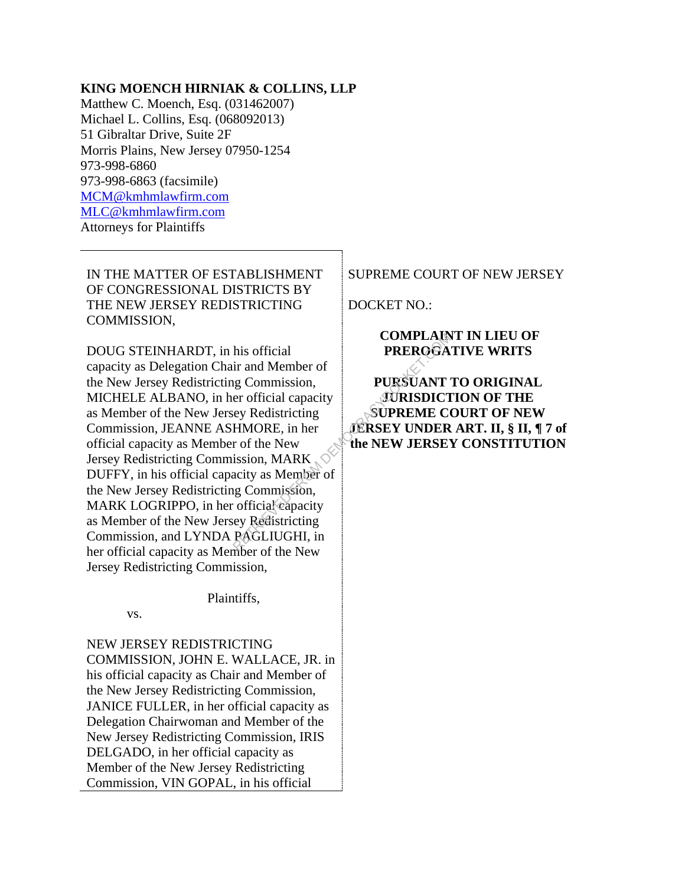#### **KING MOENCH HIRNIAK & COLLINS, LLP**

Matthew C. Moench, Esq. (031462007) Michael L. Collins, Esq. (068092013) 51 Gibraltar Drive, Suite 2F Morris Plains, New Jersey 07950-1254 973-998-6860 973-998-6863 (facsimile) MCM@kmhmlawfirm.com MLC@kmhmlawfirm.com Attorneys for Plaintiffs

IN THE MATTER OF ESTABLISHMENT OF CONGRESSIONAL DISTRICTS BY THE NEW JERSEY REDISTRICTING COMMISSION,

DOUG STEINHARDT, in his official capacity as Delegation Chair and Member of the New Jersey Redistricting Commission, MICHELE ALBANO, in her official capacity as Member of the New Jersey Redistricting Commission, JEANNE ASHMORE, in her official capacity as Member of the New Jersey Redistricting Commission, MARK DUFFY, in his official capacity as Member of the New Jersey Redistricting Commission, MARK LOGRIPPO, in her official capacity as Member of the New Jersey Redistricting Commission, and LYNDA PAGLIUGHI, in her official capacity as Member of the New Jersey Redistricting Commission, EXAMPLE AND HIS OF THE ROOM PREROGA<br>
In and Member of<br>
Ig Commission,<br>
er official capacity<br>
EXESUANT<br>
EXESUANT<br>
EXESUANT<br>
FOR EXEX UNDER<br>
THE TOTARK<br>
THE TOTARK<br>
THE TOTARK<br>
SUPREME COMPLETE<br>
IS SUPREME COMPRENE<br>
IS SUPRE

Plaintiffs,

vs.

NEW JERSEY REDISTRICTING COMMISSION, JOHN E. WALLACE, JR. in his official capacity as Chair and Member of the New Jersey Redistricting Commission, JANICE FULLER, in her official capacity as Delegation Chairwoman and Member of the New Jersey Redistricting Commission, IRIS DELGADO, in her official capacity as Member of the New Jersey Redistricting Commission, VIN GOPAL, in his official

SUPREME COURT OF NEW JERSEY

DOCKET NO.:

## **COMPLAINT IN LIEU OF PREROGATIVE WRITS**

# **PURSUANT TO ORIGINAL JURISDICTION OF THE SUPREME COURT OF NEW JERSEY UNDER ART. II, § II, ¶ 7 of the NEW JERSEY CONSTITUTION**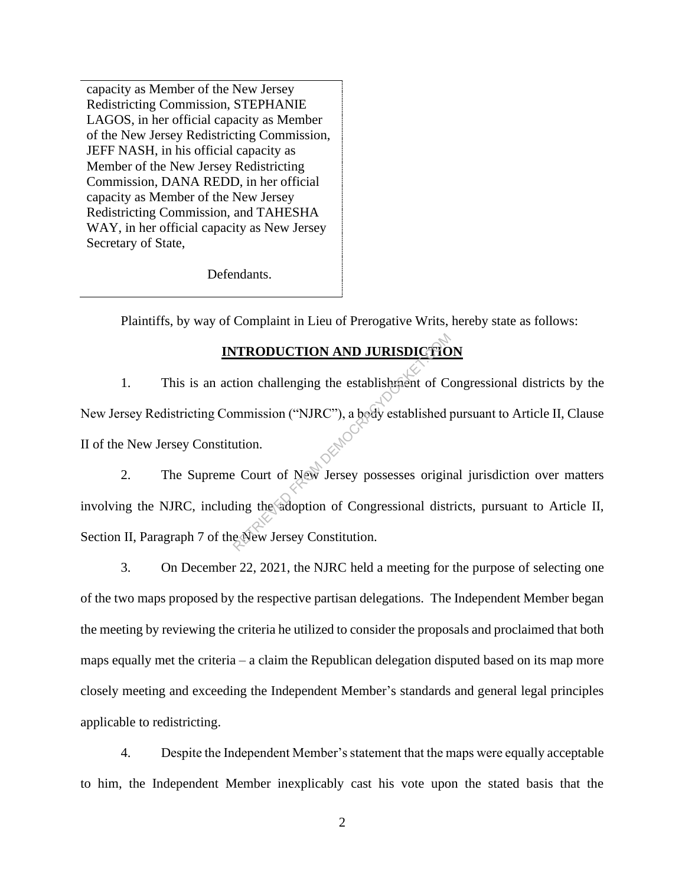capacity as Member of the New Jersey Redistricting Commission, STEPHANIE LAGOS, in her official capacity as Member of the New Jersey Redistricting Commission, JEFF NASH, in his official capacity as Member of the New Jersey Redistricting Commission, DANA REDD, in her official capacity as Member of the New Jersey Redistricting Commission, and TAHESHA WAY, in her official capacity as New Jersey Secretary of State,

Defendants.

Plaintiffs, by way of Complaint in Lieu of Prerogative Writs, hereby state as follows:

# **INTRODUCTION AND JURISDICTION**

1. This is an action challenging the establishment of Congressional districts by the New Jersey Redistricting Commission ("NJRC"), a body established pursuant to Article II, Clause II of the New Jersey Constitution. **TRODUCTION AND JURISDICTIO**<br>tion challenging the establishment of Commission ("NJRC"), a body established pution.<br>e Court of New Jersey possesses origin<br>ling the adoption of Congressional distribution.

2. The Supreme Court of New Jersey possesses original jurisdiction over matters involving the NJRC, including the adoption of Congressional districts, pursuant to Article II, Section II, Paragraph 7 of the New Jersey Constitution.

3. On December 22, 2021, the NJRC held a meeting for the purpose of selecting one of the two maps proposed by the respective partisan delegations. The Independent Member began the meeting by reviewing the criteria he utilized to consider the proposals and proclaimed that both maps equally met the criteria – a claim the Republican delegation disputed based on its map more closely meeting and exceeding the Independent Member's standards and general legal principles applicable to redistricting.

4. Despite the Independent Member's statement that the maps were equally acceptable to him, the Independent Member inexplicably cast his vote upon the stated basis that the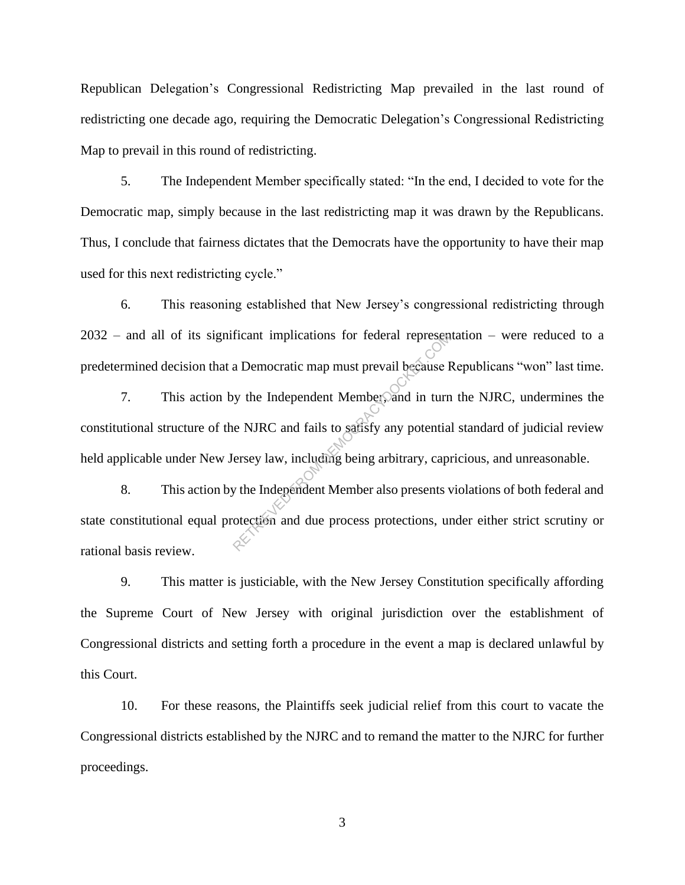Republican Delegation's Congressional Redistricting Map prevailed in the last round of redistricting one decade ago, requiring the Democratic Delegation's Congressional Redistricting Map to prevail in this round of redistricting.

5. The Independent Member specifically stated: "In the end, I decided to vote for the Democratic map, simply because in the last redistricting map it was drawn by the Republicans. Thus, I conclude that fairness dictates that the Democrats have the opportunity to have their map used for this next redistricting cycle."

6. This reasoning established that New Jersey's congressional redistricting through 2032 – and all of its significant implications for federal representation – were reduced to a predetermined decision that a Democratic map must prevail because Republicans "won" last time.

7. This action by the Independent Member, and in turn the NJRC, undermines the constitutional structure of the NJRC and fails to satisfy any potential standard of judicial review held applicable under New Jersey law, including being arbitrary, capricious, and unreasonable. From a Democratic map must prevail because I<br>a Democratic map must prevail because I<br>by the Independent Member, and in turn<br>e NJRC and fails to safisfy any potentia<br>ersey law, including being arbitrary, capi<br>we the Indepen

8. This action by the Independent Member also presents violations of both federal and state constitutional equal protection and due process protections, under either strict scrutiny or rational basis review.

9. This matter is justiciable, with the New Jersey Constitution specifically affording the Supreme Court of New Jersey with original jurisdiction over the establishment of Congressional districts and setting forth a procedure in the event a map is declared unlawful by this Court.

10. For these reasons, the Plaintiffs seek judicial relief from this court to vacate the Congressional districts established by the NJRC and to remand the matter to the NJRC for further proceedings.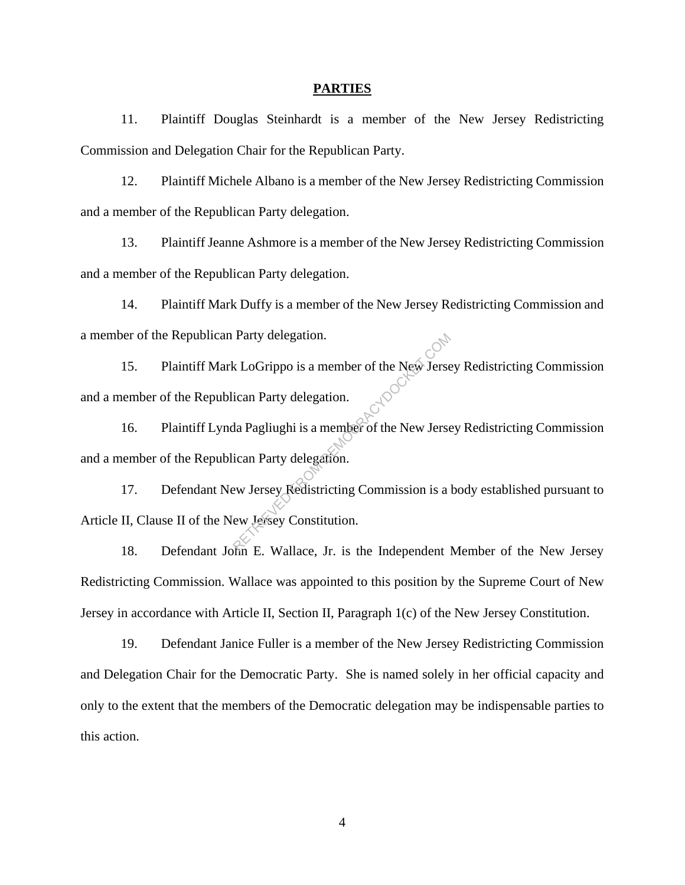#### **PARTIES**

11. Plaintiff Douglas Steinhardt is a member of the New Jersey Redistricting Commission and Delegation Chair for the Republican Party.

12. Plaintiff Michele Albano is a member of the New Jersey Redistricting Commission and a member of the Republican Party delegation.

13. Plaintiff Jeanne Ashmore is a member of the New Jersey Redistricting Commission and a member of the Republican Party delegation.

14. Plaintiff Mark Duffy is a member of the New Jersey Redistricting Commission and a member of the Republican Party delegation. <sup>2</sup><br>15. Plaintiff Mark LoGrippo is a member of the New Jersey Redistricting Commission

and a member of the Republican Party delegation.

16. Plaintiff Lynda Pagliughi is a member of the New Jersey Redistricting Commission and a member of the Republican Party delegation.

17. Defendant New Jersey Redistricting Commission is a body established pursuant to Article II, Clause II of the New Jersey Constitution. Party delegation.<br>
k LoGrippo is a member of the New Jerse<br>
ican Party delegation.<br>
da Pagliughi is a member of the New Jerse<br>
ican Party delegation.<br>
ew Jersey Redistricting Commission is a<br>
ew Jersey Constitution.

18. Defendant John E. Wallace, Jr. is the Independent Member of the New Jersey Redistricting Commission. Wallace was appointed to this position by the Supreme Court of New Jersey in accordance with Article II, Section II, Paragraph 1(c) of the New Jersey Constitution.

19. Defendant Janice Fuller is a member of the New Jersey Redistricting Commission and Delegation Chair for the Democratic Party. She is named solely in her official capacity and only to the extent that the members of the Democratic delegation may be indispensable parties to this action.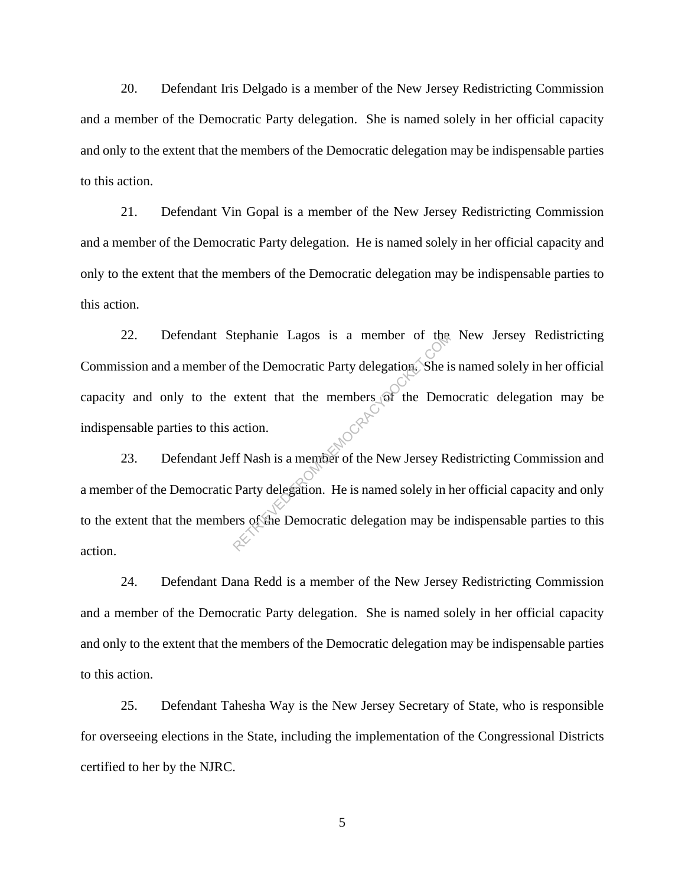20. Defendant Iris Delgado is a member of the New Jersey Redistricting Commission and a member of the Democratic Party delegation. She is named solely in her official capacity and only to the extent that the members of the Democratic delegation may be indispensable parties to this action.

21. Defendant Vin Gopal is a member of the New Jersey Redistricting Commission and a member of the Democratic Party delegation. He is named solely in her official capacity and only to the extent that the members of the Democratic delegation may be indispensable parties to this action.

22. Defendant Stephanie Lagos is a member of the New Jersey Redistricting Commission and a member of the Democratic Party delegation. She is named solely in her official capacity and only to the extent that the members of the Democratic delegation may be indispensable parties to this action. Extent that the members of the Democratic Party delegation. She is<br>extent that the members of the Dem<br>action.<br>ff Nash is a member of the New Jersey Re<br>Party delegation. He is named solely in l<br>ers of the Democratic delegat

23. Defendant Jeff Nash is a member of the New Jersey Redistricting Commission and a member of the Democratic Party delegation. He is named solely in her official capacity and only to the extent that the members of the Democratic delegation may be indispensable parties to this action.

24. Defendant Dana Redd is a member of the New Jersey Redistricting Commission and a member of the Democratic Party delegation. She is named solely in her official capacity and only to the extent that the members of the Democratic delegation may be indispensable parties to this action.

25. Defendant Tahesha Way is the New Jersey Secretary of State, who is responsible for overseeing elections in the State, including the implementation of the Congressional Districts certified to her by the NJRC.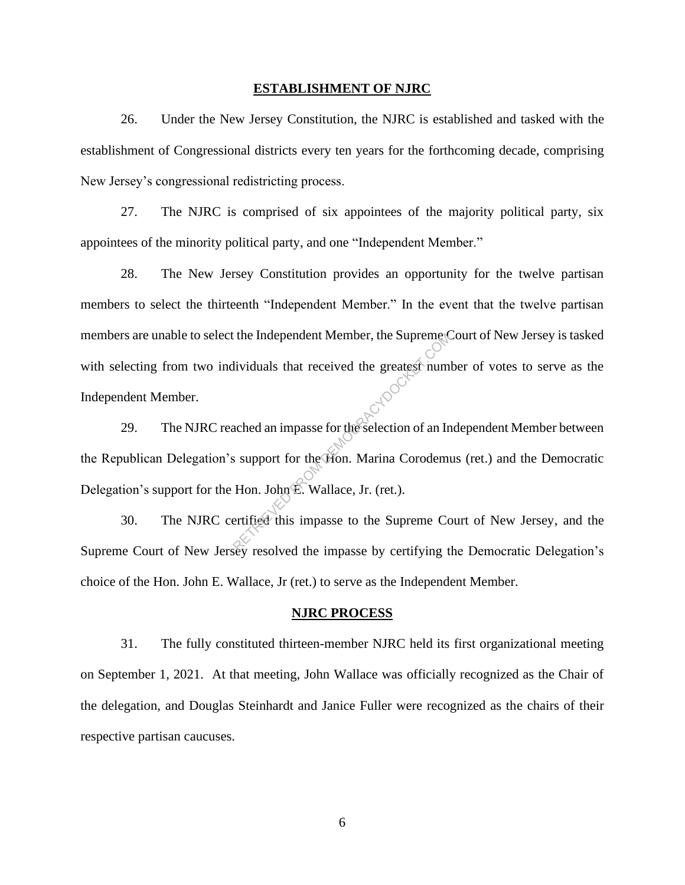#### **ESTABLISHMENT OF NJRC**

26. Under the New Jersey Constitution, the NJRC is established and tasked with the establishment of Congressional districts every ten years for the forthcoming decade, comprising New Jersey's congressional redistricting process.

27. The NJRC is comprised of six appointees of the majority political party, six appointees of the minority political party, and one "Independent Member."

28. The New Jersey Constitution provides an opportunity for the twelve partisan members to select the thirteenth "Independent Member." In the event that the twelve partisan members are unable to select the Independent Member, the Supreme Court of New Jersey is tasked with selecting from two individuals that received the greatest number of votes to serve as the Independent Member.

29. The NJRC reached an impasse for the selection of an Independent Member between the Republican Delegation's support for the Hon. Marina Corodemus (ret.) and the Democratic Delegation's support for the Hon. John E. Wallace, Jr. (ret.). The Independent Member, the Supremetrical<br>dividuals that received the greatest num<br>ached an impasse for the selection of an In<br>support for the Hon. Marina Corodem<br>Hon. John E. Wallace, Jr. (ret.).<br>ertified this impasse to

30. The NJRC certified this impasse to the Supreme Court of New Jersey, and the Supreme Court of New Jersey resolved the impasse by certifying the Democratic Delegation's choice of the Hon. John E. Wallace, Jr (ret.) to serve as the Independent Member.

#### **NJRC PROCESS**

31. The fully constituted thirteen-member NJRC held its first organizational meeting on September 1, 2021. At that meeting, John Wallace was officially recognized as the Chair of the delegation, and Douglas Steinhardt and Janice Fuller were recognized as the chairs of their respective partisan caucuses.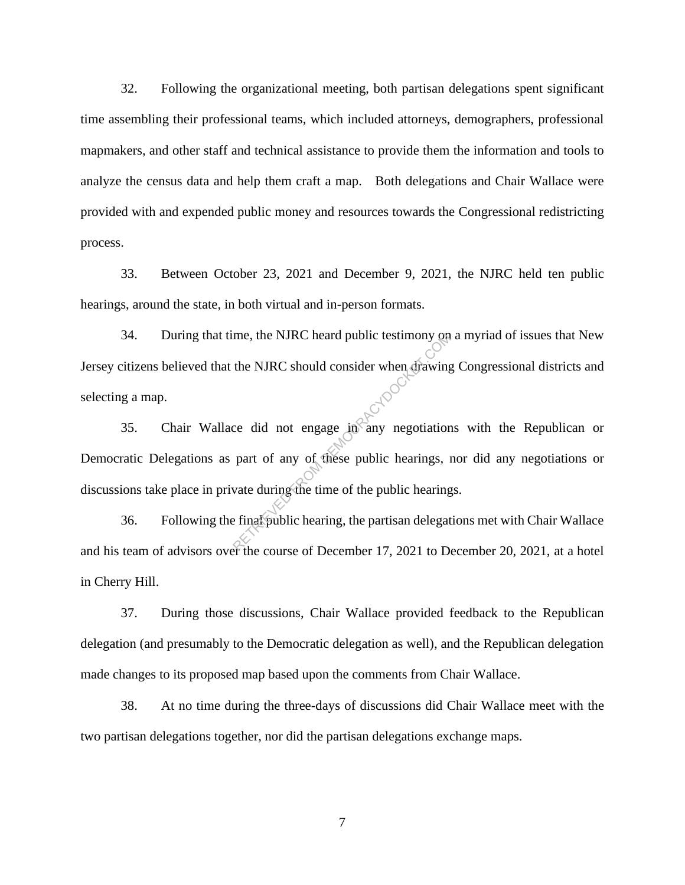32. Following the organizational meeting, both partisan delegations spent significant time assembling their professional teams, which included attorneys, demographers, professional mapmakers, and other staff and technical assistance to provide them the information and tools to analyze the census data and help them craft a map. Both delegations and Chair Wallace were provided with and expended public money and resources towards the Congressional redistricting process.

33. Between October 23, 2021 and December 9, 2021, the NJRC held ten public hearings, around the state, in both virtual and in-person formats.

34. During that time, the NJRC heard public testimony on a myriad of issues that New Jersey citizens believed that the NJRC should consider when drawing Congressional districts and selecting a map.

35. Chair Wallace did not engage  $\lim_{n \to \infty} \frac{1}{n}$  negotiations with the Republican or Democratic Delegations as part of any of these public hearings, nor did any negotiations or discussions take place in private during the time of the public hearings. me, the NJRC heard public testimony on<br>the NJRC should consider when drawing<br>ce did not engage in any negotiation<br>part of any of these public hearings, if<br>wate during the time of the public hearing<br>final public hearing, th

36. Following the final public hearing, the partisan delegations met with Chair Wallace and his team of advisors over the course of December 17, 2021 to December 20, 2021, at a hotel in Cherry Hill.

37. During those discussions, Chair Wallace provided feedback to the Republican delegation (and presumably to the Democratic delegation as well), and the Republican delegation made changes to its proposed map based upon the comments from Chair Wallace.

38. At no time during the three-days of discussions did Chair Wallace meet with the two partisan delegations together, nor did the partisan delegations exchange maps.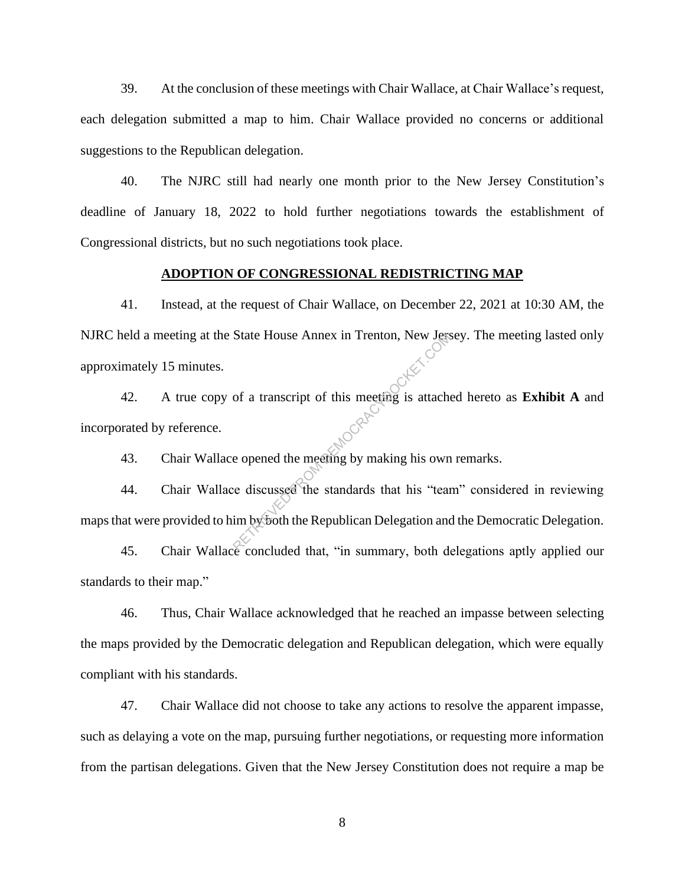39. At the conclusion of these meetings with Chair Wallace, at Chair Wallace's request, each delegation submitted a map to him. Chair Wallace provided no concerns or additional suggestions to the Republican delegation.

40. The NJRC still had nearly one month prior to the New Jersey Constitution's deadline of January 18, 2022 to hold further negotiations towards the establishment of Congressional districts, but no such negotiations took place.

#### **ADOPTION OF CONGRESSIONAL REDISTRICTING MAP**

41. Instead, at the request of Chair Wallace, on December 22, 2021 at 10:30 AM, the NJRC held a meeting at the State House Annex in Trenton, New Jersey. The meeting lasted only approximately 15 minutes.

42. A true copy of a transcript of this meeting is attached hereto as **Exhibit A** and incorporated by reference. State House Annex in Trenton, New Jerset<br>of a transcript of this meeting is attached<br>expended the meeting by making his own<br>ce discussed the standards that his "team<br>im by both the Republican Delegation and

43. Chair Wallace opened the meeting by making his own remarks.

44. Chair Wallace discussed the standards that his "team" considered in reviewing maps that were provided to him by both the Republican Delegation and the Democratic Delegation.

45. Chair Wallace concluded that, "in summary, both delegations aptly applied our standards to their map."

46. Thus, Chair Wallace acknowledged that he reached an impasse between selecting the maps provided by the Democratic delegation and Republican delegation, which were equally compliant with his standards.

47. Chair Wallace did not choose to take any actions to resolve the apparent impasse, such as delaying a vote on the map, pursuing further negotiations, or requesting more information from the partisan delegations. Given that the New Jersey Constitution does not require a map be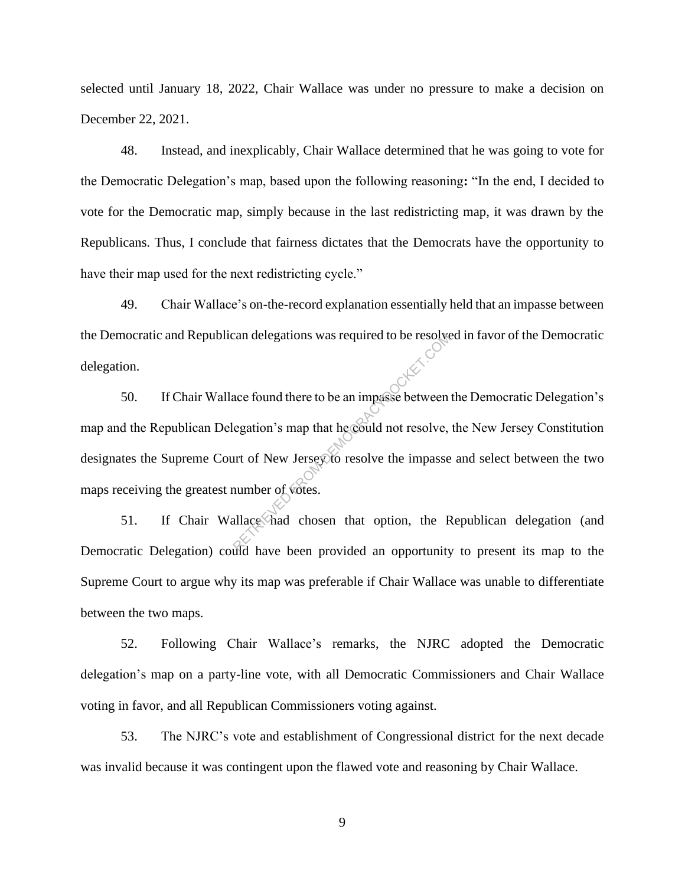selected until January 18, 2022, Chair Wallace was under no pressure to make a decision on December 22, 2021.

48. Instead, and inexplicably, Chair Wallace determined that he was going to vote for the Democratic Delegation's map, based upon the following reasoning**:** "In the end, I decided to vote for the Democratic map, simply because in the last redistricting map, it was drawn by the Republicans. Thus, I conclude that fairness dictates that the Democrats have the opportunity to have their map used for the next redistricting cycle."

49. Chair Wallace's on-the-record explanation essentially held that an impasse between the Democratic and Republican delegations was required to be resolved in favor of the Democratic delegation.

50. If Chair Wallace found there to be an impasse between the Democratic Delegation's map and the Republican Delegation's map that he could not resolve, the New Jersey Constitution designates the Supreme Court of New Jersey to resolve the impasse and select between the two maps receiving the greatest number of votes. Exam delegations was required to be resolved<br>ace found there to be an impasse between<br>egation's map that he could not resolve,<br>art of New Jersey to resolve the impasse<br>number of votes.<br>allace had chosen that option, the R

51. If Chair Wallace had chosen that option, the Republican delegation (and Democratic Delegation) could have been provided an opportunity to present its map to the Supreme Court to argue why its map was preferable if Chair Wallace was unable to differentiate between the two maps.

52. Following Chair Wallace's remarks, the NJRC adopted the Democratic delegation's map on a party-line vote, with all Democratic Commissioners and Chair Wallace voting in favor, and all Republican Commissioners voting against.

53. The NJRC's vote and establishment of Congressional district for the next decade was invalid because it was contingent upon the flawed vote and reasoning by Chair Wallace.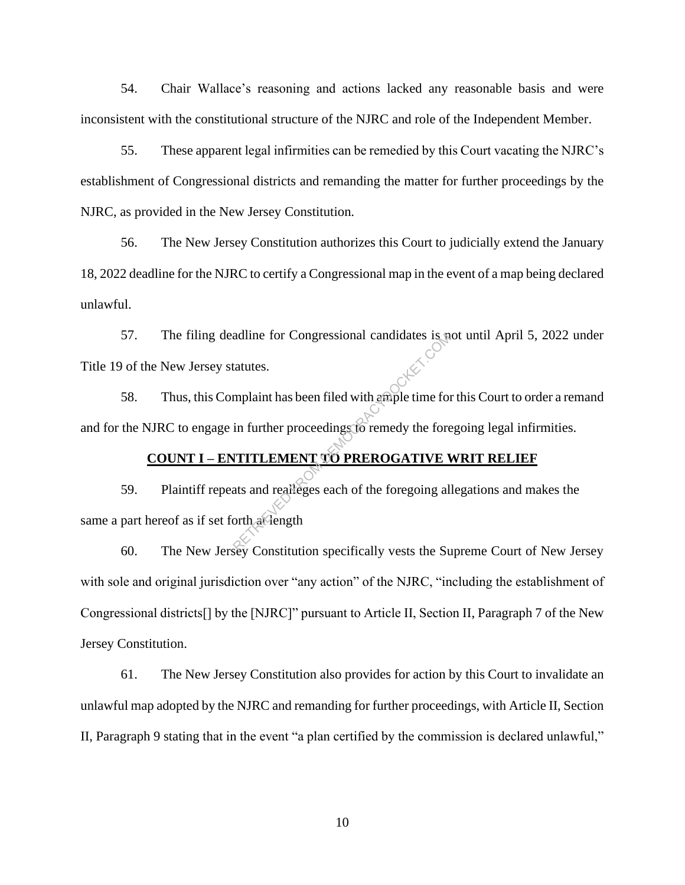54. Chair Wallace's reasoning and actions lacked any reasonable basis and were inconsistent with the constitutional structure of the NJRC and role of the Independent Member.

55. These apparent legal infirmities can be remedied by this Court vacating the NJRC's establishment of Congressional districts and remanding the matter for further proceedings by the NJRC, as provided in the New Jersey Constitution.

56. The New Jersey Constitution authorizes this Court to judicially extend the January 18, 2022 deadline for the NJRC to certify a Congressional map in the event of a map being declared unlawful.

57. The filing deadline for Congressional candidates is not until April 5, 2022 under Title 19 of the New Jersey statutes.

58. Thus, this Complaint has been filed with ample time for this Court to order a remand and for the NJRC to engage in further proceedings to remedy the foregoing legal infirmities.

# **COUNT I – ENTITLEMENT TO PREROGATIVE WRIT RELIEF**

59. Plaintiff repeats and realleges each of the foregoing allegations and makes the same a part hereof as if set forth at length adline for Congressional candidates is in<br>tatutes.<br>mplaint has been filed with ample time for<br>in further proceedings for remedy the fore<br>**NTITLEMENT TO PREROGATIVE \**<br>ats and realleges each of the foregoing all<br>orth alleng

60. The New Jersey Constitution specifically vests the Supreme Court of New Jersey with sole and original jurisdiction over "any action" of the NJRC, "including the establishment of Congressional districts[] by the [NJRC]" pursuant to Article II, Section II, Paragraph 7 of the New Jersey Constitution.

61. The New Jersey Constitution also provides for action by this Court to invalidate an unlawful map adopted by the NJRC and remanding for further proceedings, with Article II, Section II, Paragraph 9 stating that in the event "a plan certified by the commission is declared unlawful,"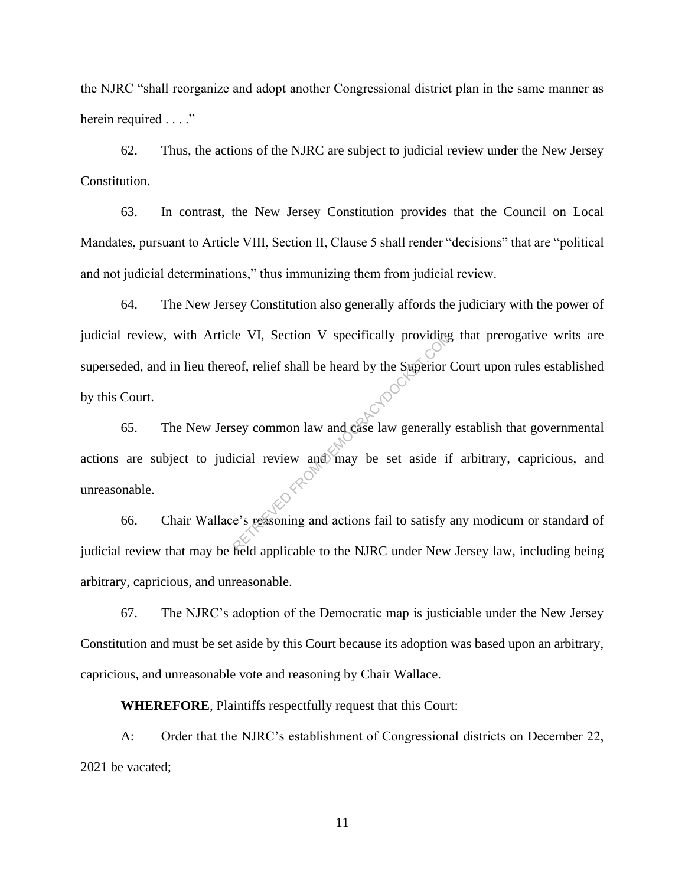the NJRC "shall reorganize and adopt another Congressional district plan in the same manner as herein required . . . ."

62. Thus, the actions of the NJRC are subject to judicial review under the New Jersey Constitution.

63. In contrast, the New Jersey Constitution provides that the Council on Local Mandates, pursuant to Article VIII, Section II, Clause 5 shall render "decisions" that are "political and not judicial determinations," thus immunizing them from judicial review.

64. The New Jersey Constitution also generally affords the judiciary with the power of judicial review, with Article VI, Section V specifically providing that prerogative writs are superseded, and in lieu thereof, relief shall be heard by the Superior Court upon rules established by this Court.

65. The New Jersey common law and case law generally establish that governmental actions are subject to judicial review and may be set aside if arbitrary, capricious, and unreasonable. Reflexered From the Superior of the Superior of the Superior of the Superior of the Superior of the Superior of the MIP of the Superior of the Superior of the Superior of the Superior of the Superior of the Superior of the

66. Chair Wallace's reasoning and actions fail to satisfy any modicum or standard of judicial review that may be held applicable to the NJRC under New Jersey law, including being arbitrary, capricious, and unreasonable.

67. The NJRC's adoption of the Democratic map is justiciable under the New Jersey Constitution and must be set aside by this Court because its adoption was based upon an arbitrary, capricious, and unreasonable vote and reasoning by Chair Wallace.

**WHEREFORE**, Plaintiffs respectfully request that this Court:

A: Order that the NJRC's establishment of Congressional districts on December 22, 2021 be vacated;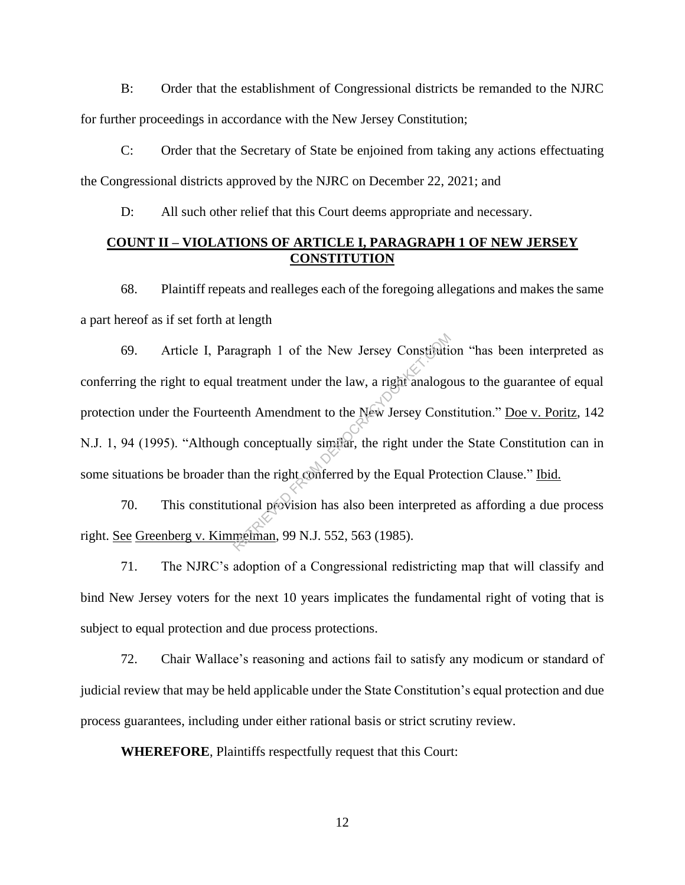B: Order that the establishment of Congressional districts be remanded to the NJRC for further proceedings in accordance with the New Jersey Constitution;

C: Order that the Secretary of State be enjoined from taking any actions effectuating the Congressional districts approved by the NJRC on December 22, 2021; and

D: All such other relief that this Court deems appropriate and necessary.

## **COUNT II – VIOLATIONS OF ARTICLE I, PARAGRAPH 1 OF NEW JERSEY CONSTITUTION**

68. Plaintiff repeats and realleges each of the foregoing allegations and makes the same a part hereof as if set forth at length

69. Article I, Paragraph 1 of the New Jersey Constitution "has been interpreted as conferring the right to equal treatment under the law, a right analogous to the guarantee of equal protection under the Fourteenth Amendment to the New Jersey Constitution." Doe v. Poritz, 142 N.J. 1, 94 (1995). "Although conceptually similar, the right under the State Constitution can in some situations be broader than the right conferred by the Equal Protection Clause." Ibid. ragraph 1 of the New Jersey Constitution<br>treatment under the law, a right analogo<br>enth Amendment to the New Jersey Cons<br>h conceptually similar, the right under t<br>han the right conferred by the Equal Prot<br>tional provision h

70. This constitutional provision has also been interpreted as affording a due process right. See Greenberg v. Kimmelman, 99 N.J. 552, 563 (1985).

71. The NJRC's adoption of a Congressional redistricting map that will classify and bind New Jersey voters for the next 10 years implicates the fundamental right of voting that is subject to equal protection and due process protections.

72. Chair Wallace's reasoning and actions fail to satisfy any modicum or standard of judicial review that may be held applicable under the State Constitution's equal protection and due process guarantees, including under either rational basis or strict scrutiny review.

**WHEREFORE**, Plaintiffs respectfully request that this Court: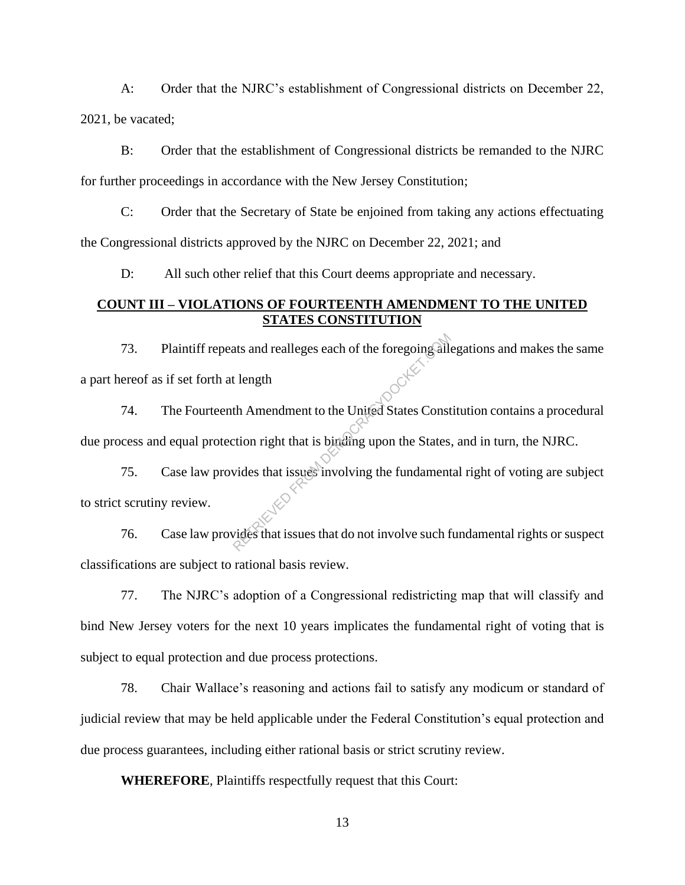A: Order that the NJRC's establishment of Congressional districts on December 22, 2021, be vacated;

B: Order that the establishment of Congressional districts be remanded to the NJRC for further proceedings in accordance with the New Jersey Constitution;

C: Order that the Secretary of State be enjoined from taking any actions effectuating the Congressional districts approved by the NJRC on December 22, 2021; and

D: All such other relief that this Court deems appropriate and necessary.

### **COUNT III – VIOLATIONS OF FOURTEENTH AMENDMENT TO THE UNITED STATES CONSTITUTION**

73. Plaintiff repeats and realleges each of the foregoing allegations and makes the same a part hereof as if set forth at length The temperature and realies each of the foregoing all<br>the the Amendment to the United States Constraint<br>tion right that is binding upon the States<br>vides that issues involving the fundament<br>vides that issues that do not inv

74. The Fourteenth Amendment to the United States Constitution contains a procedural due process and equal protection right that is binding upon the States, and in turn, the NJRC.

75. Case law provides that issues involving the fundamental right of voting are subject to strict scrutiny review.

76. Case law provides that issues that do not involve such fundamental rights or suspect classifications are subject to rational basis review.

77. The NJRC's adoption of a Congressional redistricting map that will classify and bind New Jersey voters for the next 10 years implicates the fundamental right of voting that is subject to equal protection and due process protections.

78. Chair Wallace's reasoning and actions fail to satisfy any modicum or standard of judicial review that may be held applicable under the Federal Constitution's equal protection and due process guarantees, including either rational basis or strict scrutiny review.

**WHEREFORE**, Plaintiffs respectfully request that this Court: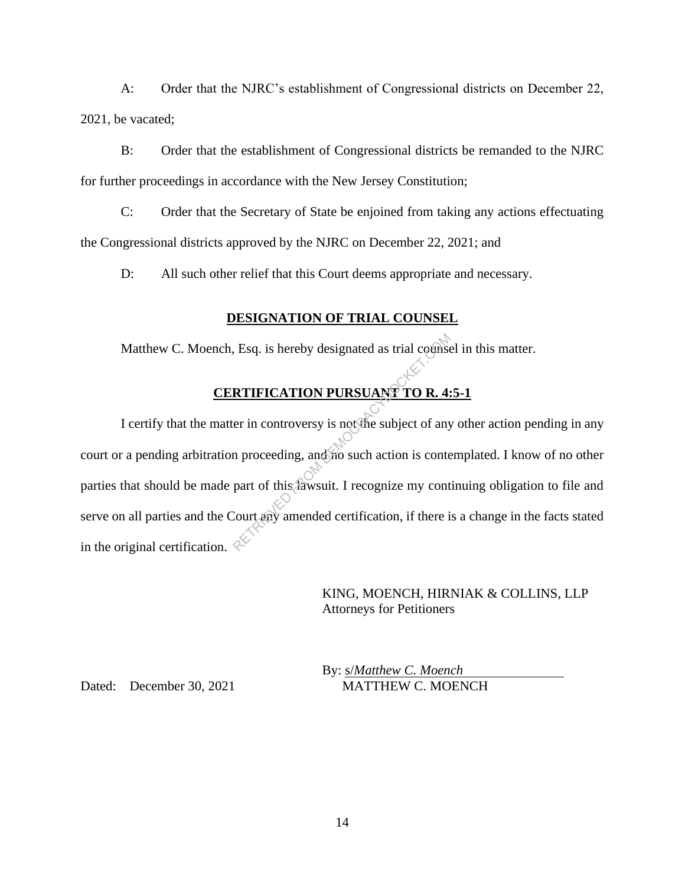A: Order that the NJRC's establishment of Congressional districts on December 22, 2021, be vacated;

B: Order that the establishment of Congressional districts be remanded to the NJRC for further proceedings in accordance with the New Jersey Constitution;

C: Order that the Secretary of State be enjoined from taking any actions effectuating the Congressional districts approved by the NJRC on December 22, 2021; and

D: All such other relief that this Court deems appropriate and necessary.

## **DESIGNATION OF TRIAL COUNSEL**

Matthew C. Moench, Esq. is hereby designated as trial counsel in this matter.

# **CERTIFICATION PURSUANT TO R. 4:5-1**

I certify that the matter in controversy is not the subject of any other action pending in any court or a pending arbitration proceeding, and no such action is contemplated. I know of no other parties that should be made part of this lawsuit. I recognize my continuing obligation to file and serve on all parties and the Court any amended certification, if there is a change in the facts stated in the original certification.  $\leq$ RTIFICATION PURSUANT TO R. 4:<br>
RTIFICATION PURSUANT TO R. 4:<br>
er in controversy is not the subject of any<br>
n proceeding, and no such action is conte<br>
part of this fawsuit. I recognize my cont<br>
Court any amended certificati

> KING, MOENCH, HIRNIAK & COLLINS, LLP Attorneys for Petitioners

By: s/*Matthew C. Moench* Dated: December 30, 2021 MATTHEW C. MOENCH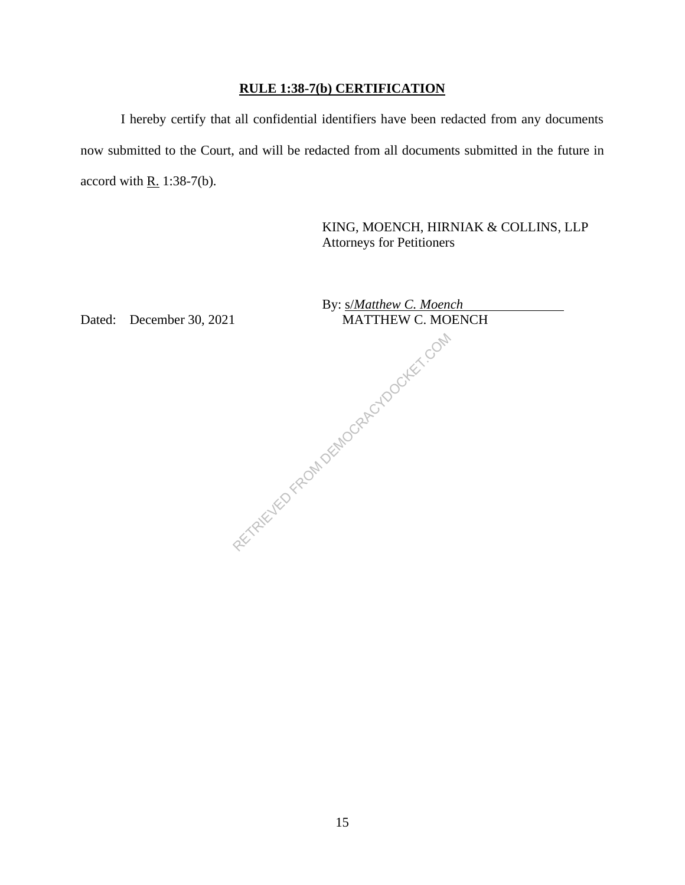# **RULE 1:38-7(b) CERTIFICATION**

I hereby certify that all confidential identifiers have been redacted from any documents now submitted to the Court, and will be redacted from all documents submitted in the future in accord with  $R. 1:38-7(b)$ .

> KING, MOENCH, HIRNIAK & COLLINS, LLP Attorneys for Petitioners

|    | By: s/Matthew C. Moench          |
|----|----------------------------------|
| 21 | <b>MATTHEW C. MOENCH</b>         |
|    |                                  |
|    | RETAINED FROM DEMOCRACYOCKES COM |
|    |                                  |
|    |                                  |
|    |                                  |

Dated: December 30, 2021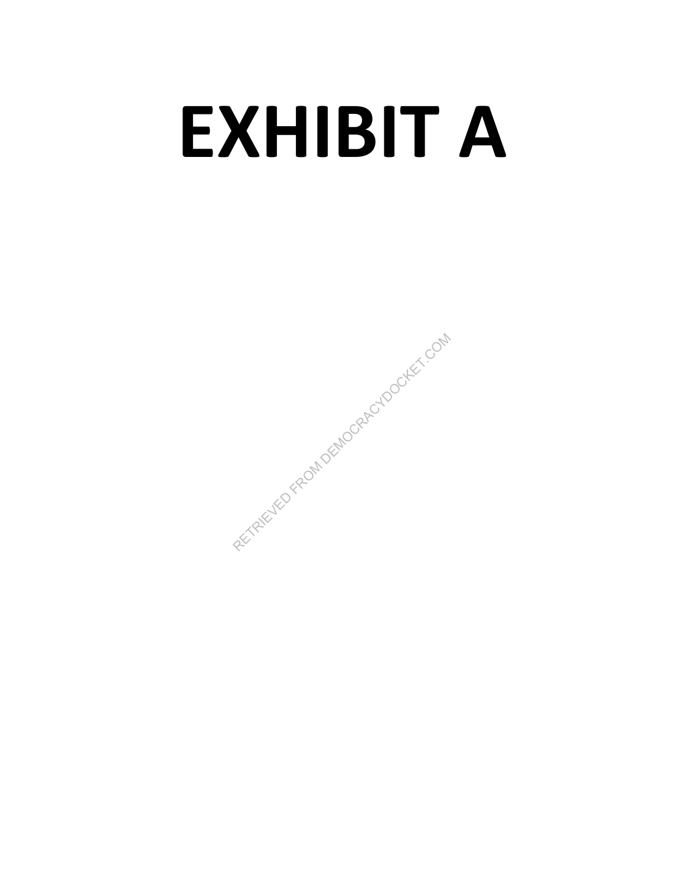# **EXHIBIT A**

RETRIEVED FROM DEMOCRACYDOCKET.COM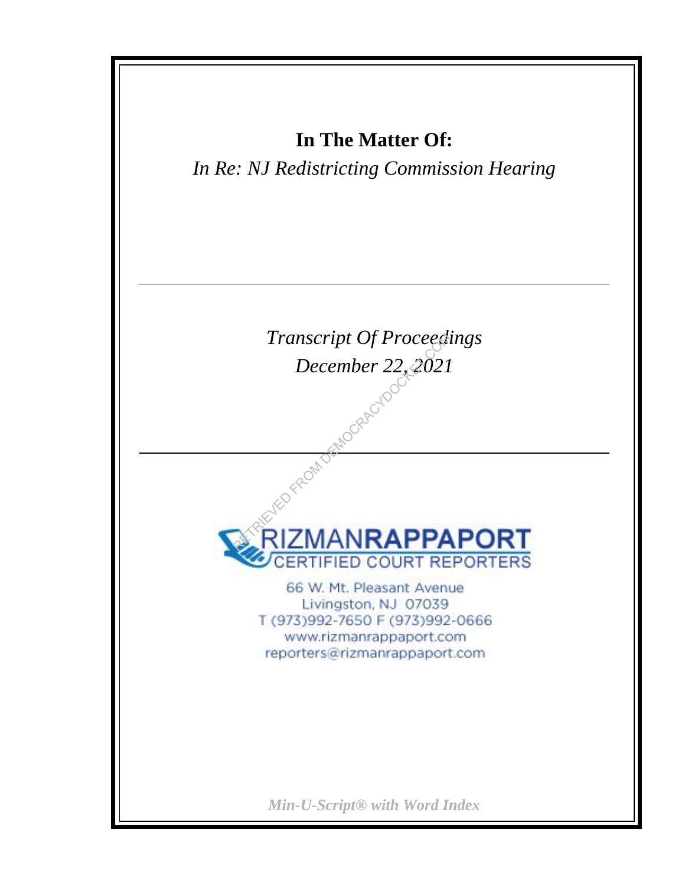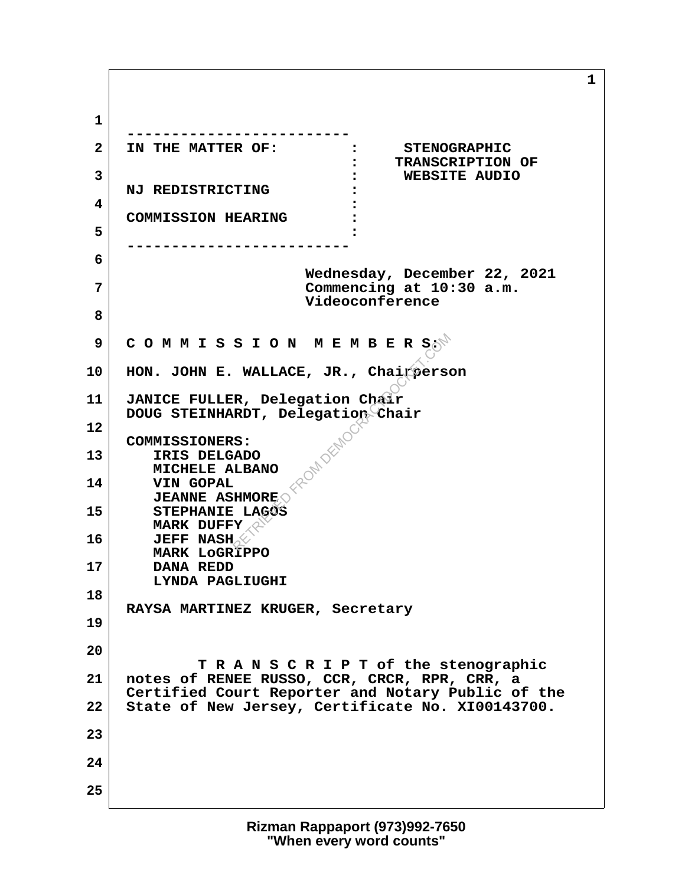**1 -------------------------** 2 IN THE MATTER OF: : STENOGRAPHIC  **: TRANSCRIPTION OF 3 : WEBSITE AUDIO NJ REDISTRICTING : 4 : COMMISSION HEARING : 5 : ------------------------- 6 Wednesday, December 22, 2021 7 Commencing at 10:30 a.m. Videoconference 8 9 C O M M I S S I O N M E M B E R S: 10 HON. JOHN E. WALLACE, JR., Chairperson 11 JANICE FULLER, Delegation Chair DOUG STEINHARDT, Delegation Chair 12 COMMISSIONERS: 13 IRIS DELGADO MICHELE ALBANO 14 VIN GOPAL JEANNE ASHMORE 15 STEPHANIE LAGOS MARK DUFFY 16 JEFF NASH MARK LoGRIPPO 17 DANA REDD LYNDA PAGLIUGHI 18 RAYSA MARTINEZ KRUGER, Secretary 19 20 T R A N S C R I P T of the stenographic 21 notes of RENEE RUSSO, CCR, CRCR, RPR, CRR, a Certified Court Reporter and Notary Public of the 22 State of New Jersey, Certificate No. XI00143700. 23 24 25** SION MEMBERS<sub>O</sub>N<br>WALLACE, JR., Chairperson<br>R, Delegation Chair<br>RDT, Delegation Chair<br>S:<br>CADO<br>LBANO<br>LBANO<br>TROS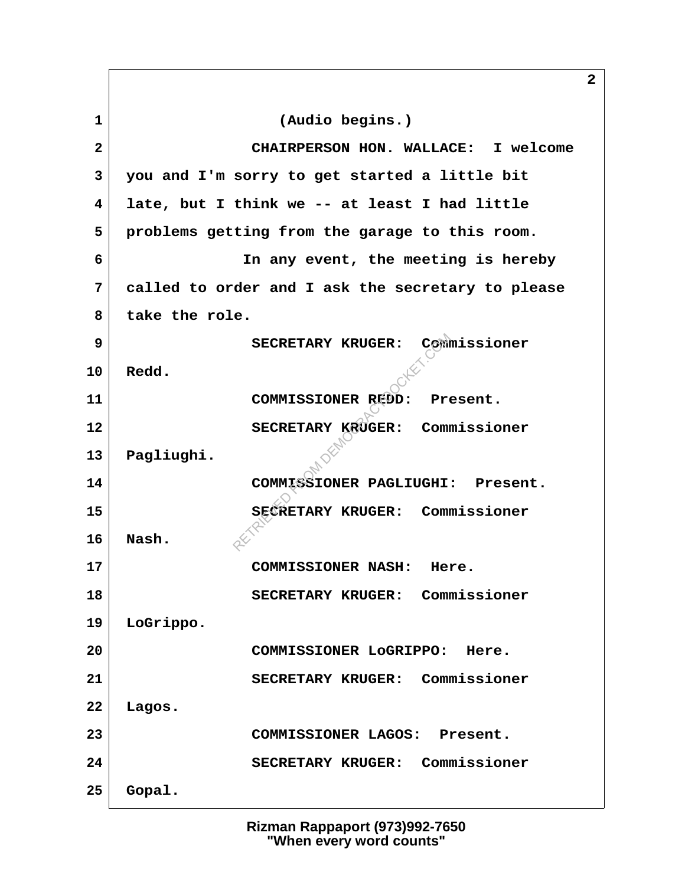**1 (Audio begins.) 2 CHAIRPERSON HON. WALLACE: I welcome 3 you and I'm sorry to get started a little bit 4 late, but I think we -- at least I had little 5 problems getting from the garage to this room. 6 In any event, the meeting is hereby 7 called to order and I ask the secretary to please 8 take the role. 9 SECRETARY KRUGER: Commissioner 10 Redd. 11 COMMISSIONER REDD: Present. 12 SECRETARY KRUGER: Commissioner 13 Pagliughi. 14 COMMISSIONER PAGLIUGHI: Present. 15 SECRETARY KRUGER: Commissioner 16 Nash. 17 COMMISSIONER NASH: Here. 18 SECRETARY KRUGER: Commissioner 19 LoGrippo. 20 COMMISSIONER LoGRIPPO: Here. 21 SECRETARY KRUGER: Commissioner 22 Lagos. 23 COMMISSIONER LAGOS: Present. 24 SECRETARY KRUGER: Commissioner 25 Gopal.** SECRETARY KRUGER: COMM<br>COMMISSIONER REDD: Provider: Commissioner Pagliught<br>COMMISSIONER PAGLIUGHI<br>SECRETARY KRUGER: Commissioner REUGER: Commissioner

**2**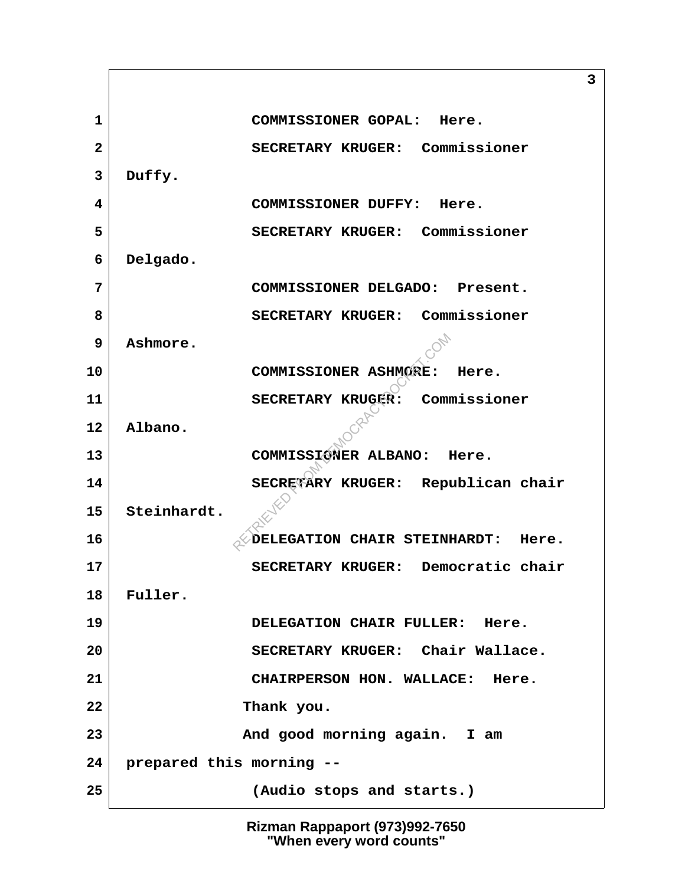**1 COMMISSIONER GOPAL: Here. 2 SECRETARY KRUGER: Commissioner 3 Duffy. 4 COMMISSIONER DUFFY: Here. 5 SECRETARY KRUGER: Commissioner 6 Delgado. 7 COMMISSIONER DELGADO: Present. 8 SECRETARY KRUGER: Commissioner 9 Ashmore. 10 COMMISSIONER ASHMORE: Here. 11 SECRETARY KRUGER: Commissioner 12 Albano. 13 COMMISSIONER ALBANO: Here. 14 SECRETARY KRUGER: Republican chair 15 Steinhardt. 16**  $\bigcirc$ DELEGATION CHAIR STEINHARDT: Here. **17 SECRETARY KRUGER: Democratic chair 18 Fuller. 19 DELEGATION CHAIR FULLER: Here. 20 SECRETARY KRUGER: Chair Wallace. 21 CHAIRPERSON HON. WALLACE: Here. 22 Thank you. 23 And good morning again. I am 24 prepared this morning -- 25 (Audio stops and starts.)** COMMISSIONER ASHMORE:<br>SECRETARY KRUGER: Commissioner ALBANO: 1<br>SECRETARY KRUGER: Represent COMMISSIONER ALBANO: 1<br>SECRETARY KRUGER: Represent

> **Rizman Rappaport (973)992-7650 "When every word counts"**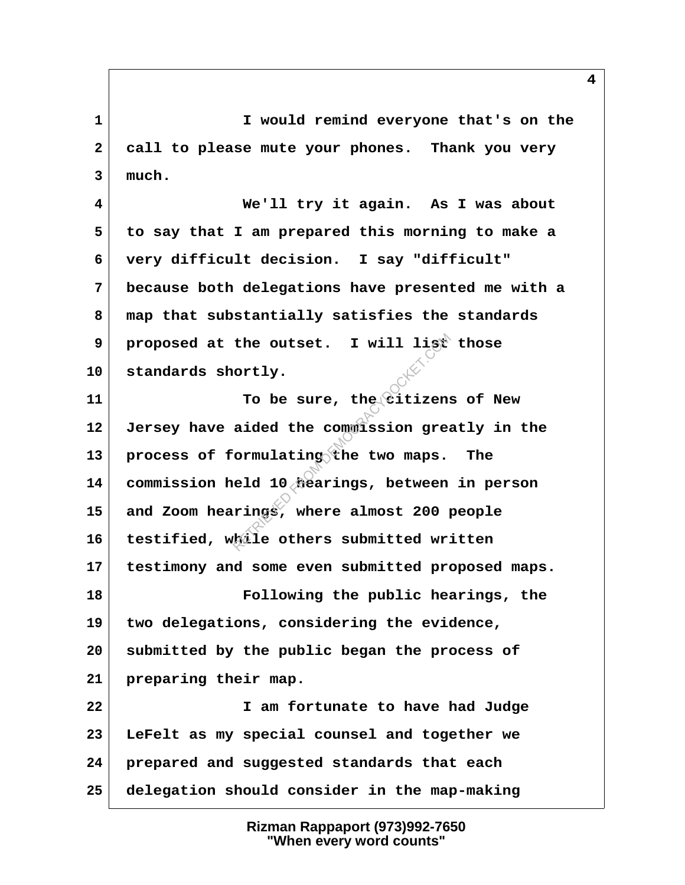**1 I would remind everyone that's on the 2 call to please mute your phones. Thank you very 3 much.**

 **4 We'll try it again. As I was about 5 to say that I am prepared this morning to make a 6 very difficult decision. I say "difficult" 7 because both delegations have presented me with a 8 map that substantially satisfies the standards 9 proposed at the outset. I will list those 10 standards shortly.**

**11 To be sure, the citizens of New 12 Jersey have aided the commission greatly in the 13 process of formulating the two maps. The 14 commission held 10 hearings, between in person 15 and Zoom hearings, where almost 200 people 16 testified, while others submitted written 17 testimony and some even submitted proposed maps. 18 Following the public hearings, the 19 two delegations, considering the evidence, 20 submitted by the public began the process of 21 preparing their map. 22 I am fortunate to have had Judge 23 LeFelt as my special counsel and together we 24 prepared and suggested standards that each 25 delegation should consider in the map-making** the outset. I will list<br>
ortly.<br>
To be sure, the citizen:<br>
aided the commission great<br>
ormulating the two maps.<br>
eld 10 flearings, between<br>
rings, where almost 200 pails others submitted wr:

> **Rizman Rappaport (973)992-7650 "When every word counts"**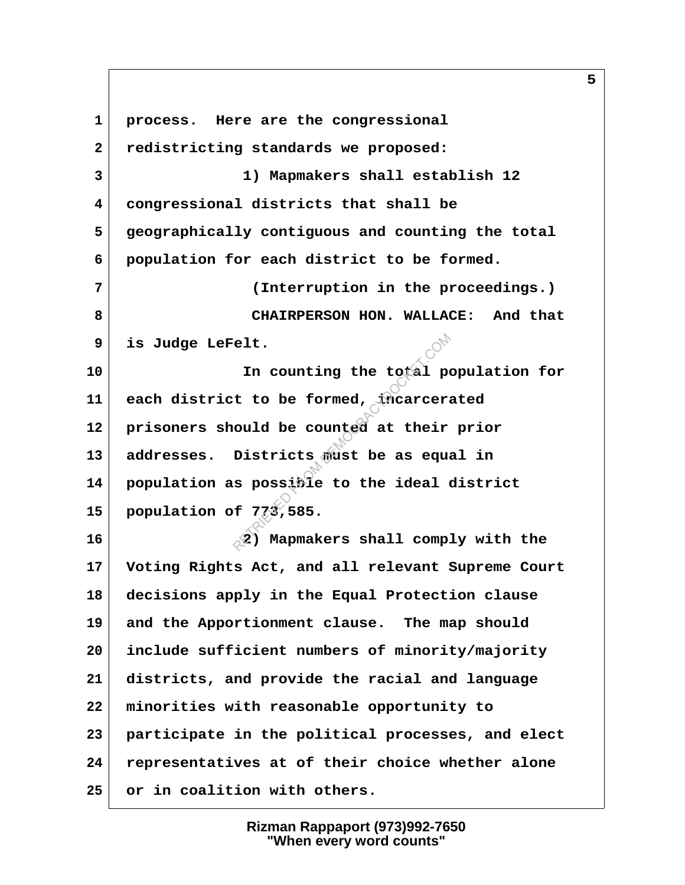**1 process. Here are the congressional 2 redistricting standards we proposed: 3 1) Mapmakers shall establish 12 4 congressional districts that shall be 5 geographically contiguous and counting the total 6 population for each district to be formed. 7 (Interruption in the proceedings.) 8 CHAIRPERSON HON. WALLACE: And that 9 is Judge LeFelt. 10 In counting the total population for 11 each district to be formed, incarcerated 12 prisoners should be counted at their prior 13 addresses. Districts must be as equal in 14 population as possible to the ideal district 15 population of 773,585. 16 2) Mapmakers shall comply with the 17 Voting Rights Act, and all relevant Supreme Court 18 decisions apply in the Equal Protection clause 19 and the Apportionment clause. The map should 20 include sufficient numbers of minority/majority 21 districts, and provide the racial and language 22 minorities with reasonable opportunity to 23 participate in the political processes, and elect 24 representatives at of their choice whether alone 25 or in coalition with others.** elt.<br>
In counting the total post<br>
t to be formed, incarcera<br>
ould be counted at their<br>
Districts must be as equals<br>
spossible to the ideal<br>
f 773,585.<br>
(2) Mapmakers shall comp.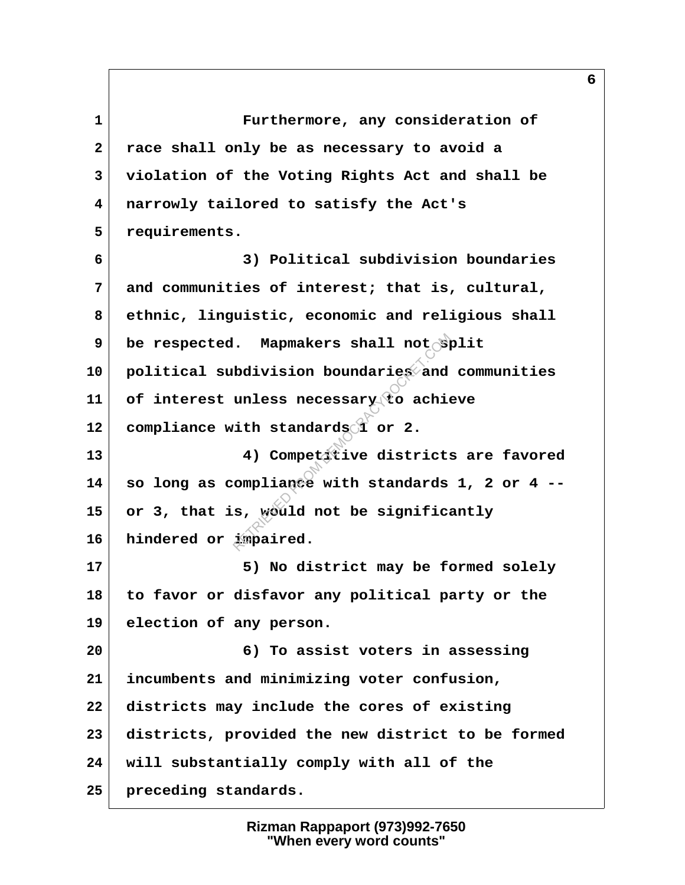**1 Furthermore, any consideration of 2 race shall only be as necessary to avoid a 3 violation of the Voting Rights Act and shall be 4 narrowly tailored to satisfy the Act's 5 requirements. 6 3) Political subdivision boundaries 7 and communities of interest; that is, cultural, 8 ethnic, linguistic, economic and religious shall 9 be respected. Mapmakers shall not split 10 political subdivision boundaries and communities 11 of interest unless necessary to achieve 12 compliance with standards 1 or 2. 13 4) Competitive districts are favored 14 so long as compliance with standards 1, 2 or 4 -- 15 or 3, that is, would not be significantly 16 hindered or impaired.** 17 5) No district may be formed solely **18 to favor or disfavor any political party or the 19 election of any person. 20 6) To assist voters in assessing 21 incumbents and minimizing voter confusion, 22 districts may include the cores of existing 23 districts, provided the new district to be formed 24 will substantially comply with all of the 25 preceding standards.** A Mapmakers shall not by<br>
bdivision boundaries and<br>
unless necessary to achie<br>
ith standards or 2.<br>
4) Competitive districts<br>
ompliance with standards<br>
s, would not be significa<br>
impaired.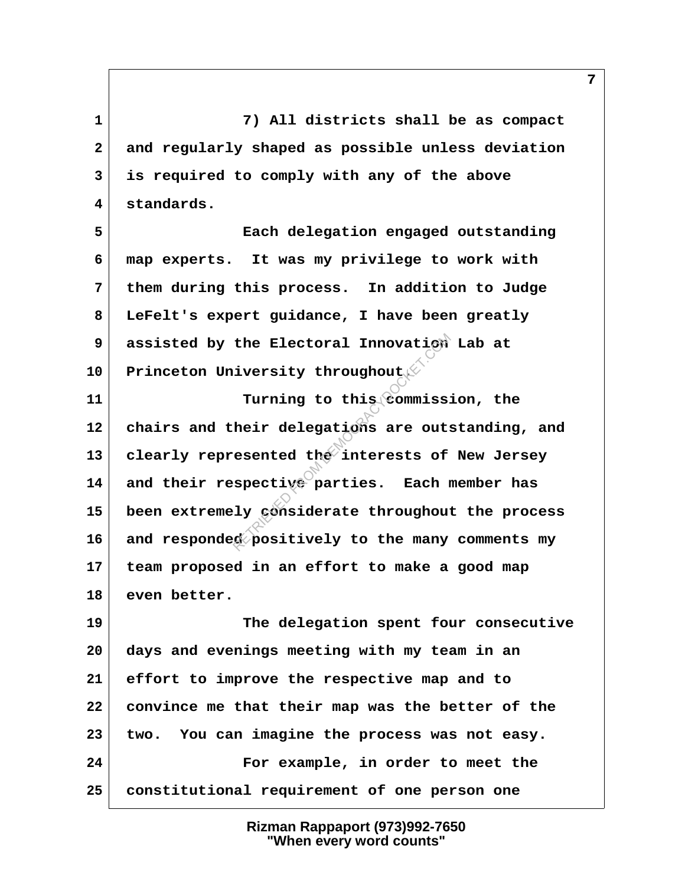**1 7) All districts shall be as compact 2 and regularly shaped as possible unless deviation 3 is required to comply with any of the above 4 standards.**

 **5 Each delegation engaged outstanding 6 map experts. It was my privilege to work with 7 them during this process. In addition to Judge 8 LeFelt's expert guidance, I have been greatly 9 assisted by the Electoral Innovation Lab at 10 Princeton University throughout.**

**11 Turning to this commission, the 12 chairs and their delegations are outstanding, and** 13 clearly represented the interests of New Jersey **14 and their respective parties. Each member has 15 been extremely considerate throughout the process 16 and responded positively to the many comments my 17 team proposed in an effort to make a good map 18 even better.** the Electoral Innovation<br>iversity throughout<br>Turning to this commiss:<br>heir delegations are outs<br>esented the interests of<br>spective parties. Each newspective parties. Each<br>iy considerate throughout<br>considerate throughout

**19 The delegation spent four consecutive 20 days and evenings meeting with my team in an 21 effort to improve the respective map and to 22 convince me that their map was the better of the 23 two. You can imagine the process was not easy. 24 For example, in order to meet the 25 constitutional requirement of one person one**

> **Rizman Rappaport (973)992-7650 "When every word counts"**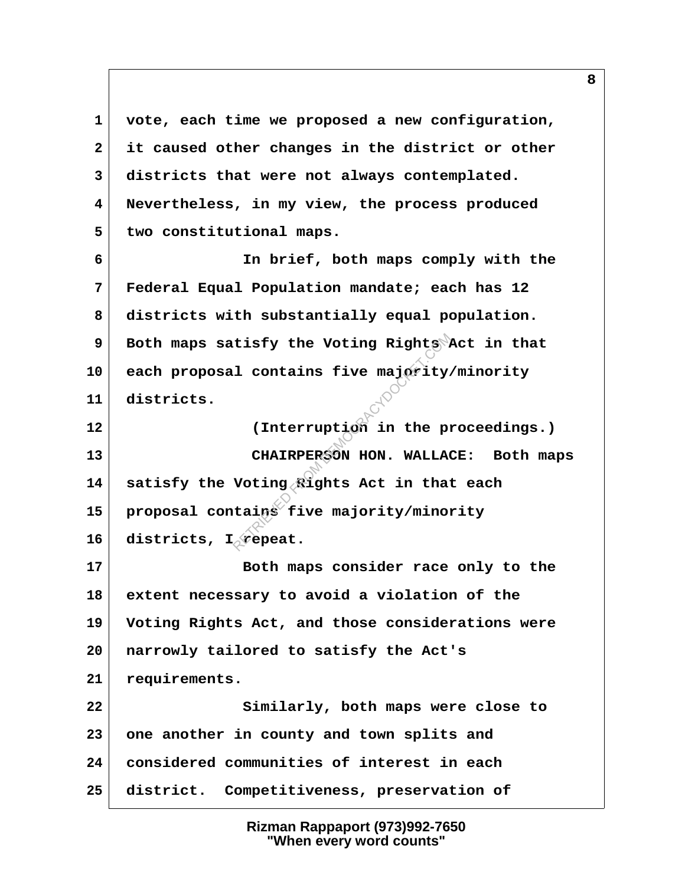**1 vote, each time we proposed a new configuration, 2 it caused other changes in the district or other 3 districts that were not always contemplated. 4 Nevertheless, in my view, the process produced 5 two constitutional maps. 6 In brief, both maps comply with the 7 Federal Equal Population mandate; each has 12 8 districts with substantially equal population. 9 Both maps satisfy the Voting Rights Act in that 10 each proposal contains five majority/minority 11 districts. 12 (Interruption in the proceedings.) 13 CHAIRPERSON HON. WALLACE: Both maps 14 satisfy the Voting Rights Act in that each 15 proposal contains five majority/minority** 16 districts, I<sub>o</sub> repeat. **17 Both maps consider race only to the 18 extent necessary to avoid a violation of the 19 Voting Rights Act, and those considerations were 20 narrowly tailored to satisfy the Act's 21 requirements. 22 Similarly, both maps were close to 23 one another in county and town splits and 24 considered communities of interest in each 25 district. Competitiveness, preservation of** tisfy the Voting Rights<br>1 contains five majority.<br>(Interruption in the prochain<br>CHAIRPERSON HON. WALLA<br>Voting Rights Act in that<br>tains five majority/minor<br>Repeat.

> **Rizman Rappaport (973)992-7650 "When every word counts"**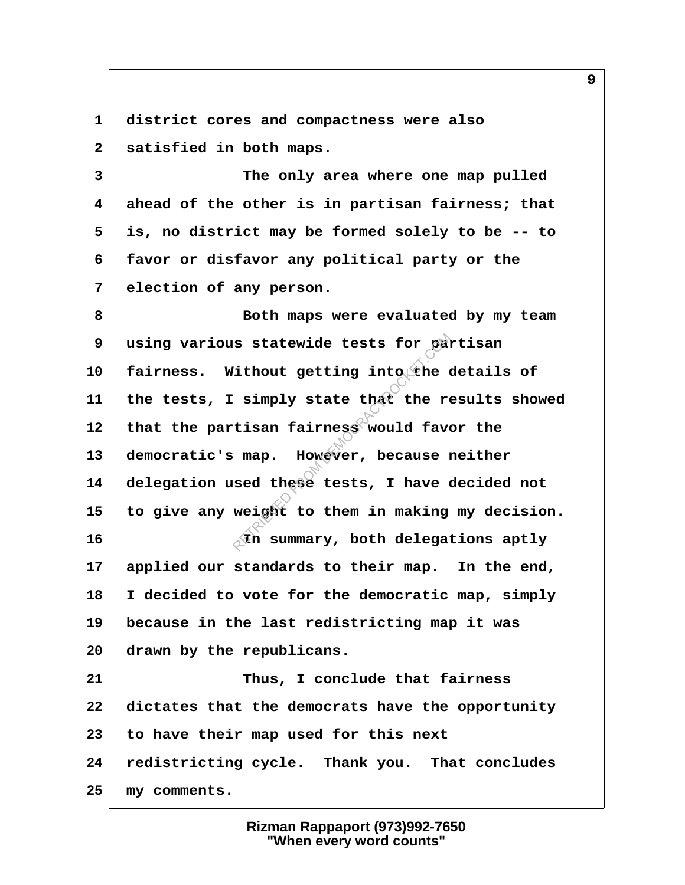**1 district cores and compactness were also 2 satisfied in both maps.**

 **3 The only area where one map pulled 4 ahead of the other is in partisan fairness; that 5 is, no district may be formed solely to be -- to 6 favor or disfavor any political party or the 7 election of any person.**

 **8 Both maps were evaluated by my team 9 using various statewide tests for partisan** 10 fairness. Without getting into the details of **11 the tests, I simply state that the results showed 12 that the partisan fairness would favor the 13 democratic's map. However, because neither 14 delegation used these tests, I have decided not 15 to give any weight to them in making my decision. 16 In summary, both delegations aptly 17 applied our standards to their map. In the end, 18 I decided to vote for the democratic map, simply 19 because in the last redistricting map it was 20 drawn by the republicans. 21 Thus, I conclude that fairness 22 dictates that the democrats have the opportunity 23 to have their map used for this next 24 redistricting cycle. Thank you. That concludes** s statewide tests for particular into the compared in the simply state that the reduced favorities and these tests, I have compared the set of the model of the simulant to them in making

**25 my comments.**

**Rizman Rappaport (973)992-7650 "When every word counts"**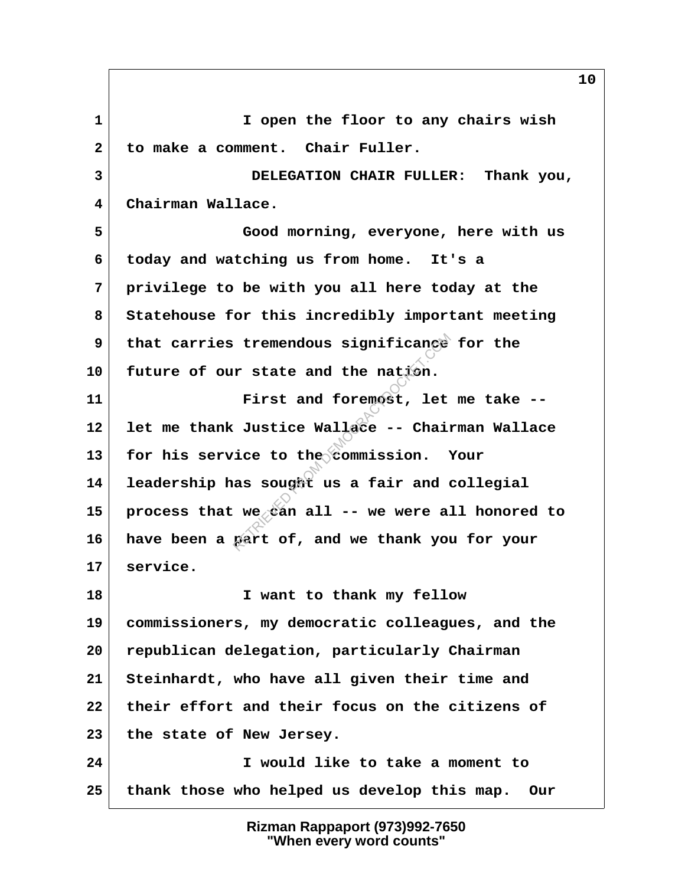**1 I open the floor to any chairs wish 2 to make a comment. Chair Fuller. 3 DELEGATION CHAIR FULLER: Thank you, 4 Chairman Wallace. 5 Good morning, everyone, here with us 6 today and watching us from home. It's a 7 privilege to be with you all here today at the 8 Statehouse for this incredibly important meeting 9 that carries tremendous significance for the 10 future of our state and the nation. 11 First and foremost, let me take -- 12 let me thank Justice Wallace -- Chairman Wallace 13 for his service to the commission. Your 14 leadership has sought us a fair and collegial 15 process that we can all -- we were all honored to 16 have been a part of, and we thank you for your 17 service. 18 I want to thank my fellow 19 commissioners, my democratic colleagues, and the 20 republican delegation, particularly Chairman 21 Steinhardt, who have all given their time and 22 their effort and their focus on the citizens of 23 the state of New Jersey. 24 I would like to take a moment to 25 thank those who helped us develop this map. Our** tremendous significance<br>
r state and the nation.<br>
First and foremost, let<br>
Justice Wallace -- Chain<br>
ice to the commission.<br>
as sought us a fair and (<br>
we can all -- we were allace thank you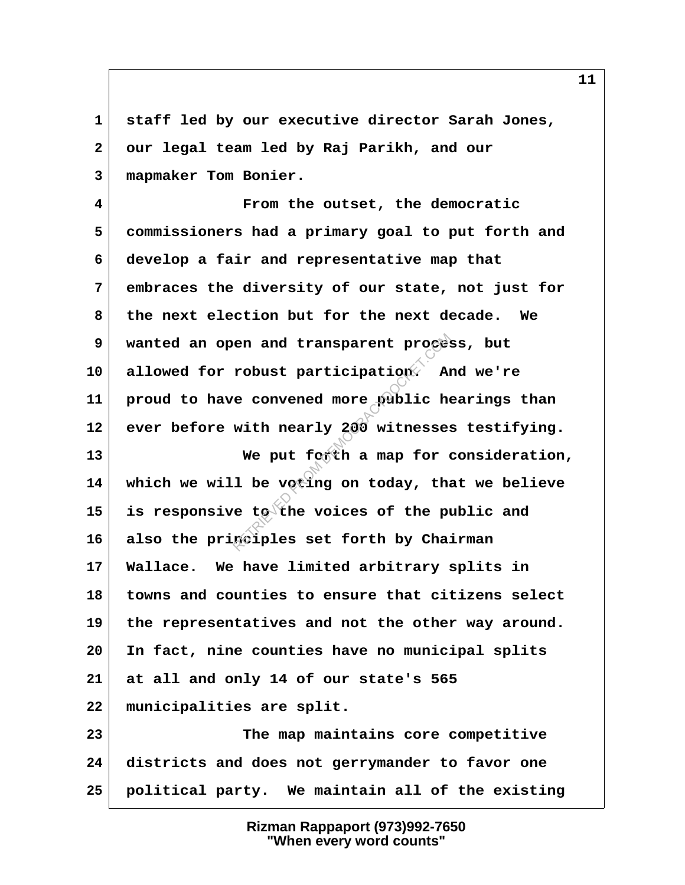**1 staff led by our executive director Sarah Jones, 2 our legal team led by Raj Parikh, and our 3 mapmaker Tom Bonier.**

 **4 From the outset, the democratic 5 commissioners had a primary goal to put forth and 6 develop a fair and representative map that 7 embraces the diversity of our state, not just for 8 the next election but for the next decade. We 9 wanted an open and transparent process, but 10 allowed for robust participation. And we're 11 proud to have convened more public hearings than 12 ever before with nearly 200 witnesses testifying.** 13 We put forth a map for consideration, **14 which we will be voting on today, that we believe 15 is responsive to the voices of the public and 16 also the principles set forth by Chairman 17 Wallace. We have limited arbitrary splits in 18 towns and counties to ensure that citizens select 19 the representatives and not the other way around. 20 In fact, nine counties have no municipal splits 21 at all and only 14 of our state's 565 22 municipalities are split. 23 The map maintains core competitive 24 districts and does not gerrymander to favor one** e convened more public here convened more public here with nearly 200 witnesses.<br>We put forth a map for which with nearly 200 witnesses.<br>We put forth a map for which is not a map for which a map for which is the put of the

#### **Rizman Rappaport (973)992-7650 "When every word counts"**

**25 political party. We maintain all of the existing**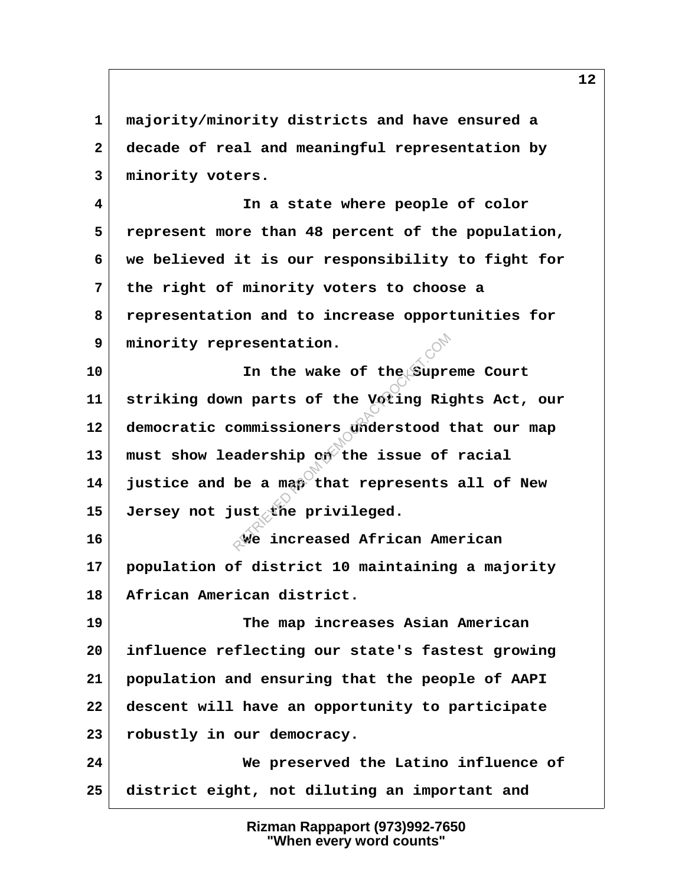**3 minority voters. 4 In a state where people of color 5 represent more than 48 percent of the population, 6 we believed it is our responsibility to fight for 7 the right of minority voters to choose a 8 representation and to increase opportunities for 9 minority representation.** 10 **In the wake of the Supreme Court 11 striking down parts of the Voting Rights Act, our 12 democratic commissioners understood that our map** 13 must show leadership on the issue of racial **14 justice and be a map that represents all of New 15 Jersey not just the privileged. 16 We increased African American 17 population of district 10 maintaining a majority 18 African American district. 19 The map increases Asian American 20 influence reflecting our state's fastest growing 21 population and ensuring that the people of AAPI 22 descent will have an opportunity to participate 23 robustly in our democracy.** resentation.<br>
In the wake of the Suprem<br>
m parts of the Voting Rig<br>
commissioners understood<br>
adership on the issue of<br>
be a map that represents<br>
ust the privileged.<br>
We increased African Ame

 **1 majority/minority districts and have ensured a**

 **2 decade of real and meaningful representation by**

**24 We preserved the Latino influence of 25 district eight, not diluting an important and**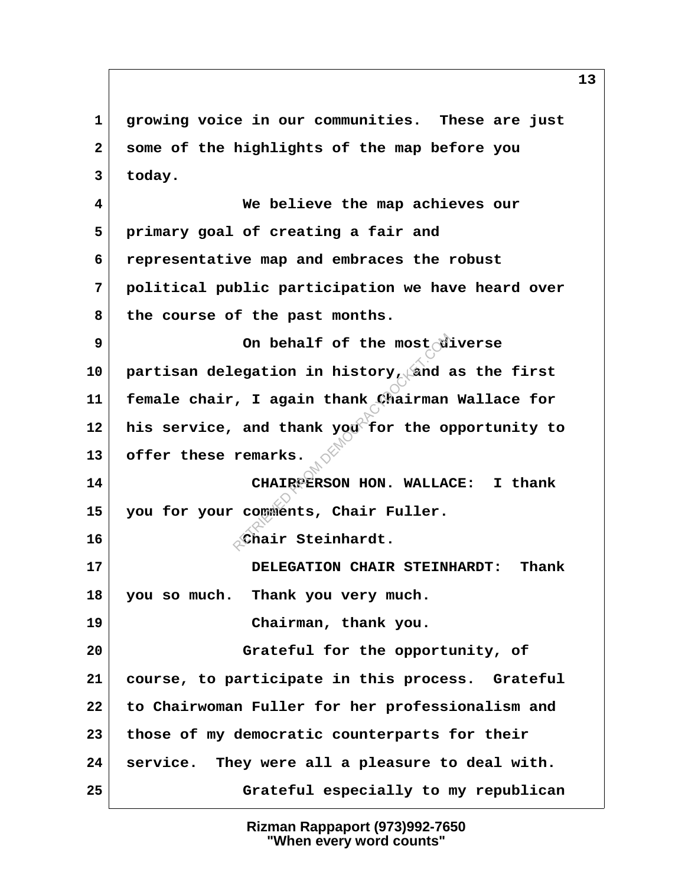**1 growing voice in our communities. These are just 2 some of the highlights of the map before you 3 today. 4 We believe the map achieves our 5 primary goal of creating a fair and 6 representative map and embraces the robust 7 political public participation we have heard over** 8 the course of the past months. **9** On behalf of the most diverse **10 partisan delegation in history, and as the first 11 female chair, I again thank Chairman Wallace for** 12 his service, and thank you<sup>t</sup> for the opportunity to **13 offer these remarks. 14 CHAIRPERSON HON. WALLACE: I thank 15 you for your comments, Chair Fuller. 16 Chair Steinhardt. 17 DELEGATION CHAIR STEINHARDT: Thank 18 you so much. Thank you very much. 19 Chairman, thank you. 20 Grateful for the opportunity, of 21 course, to participate in this process. Grateful 22 to Chairwoman Fuller for her professionalism and 23 those of my democratic counterparts for their 24 service. They were all a pleasure to deal with. 25 Grateful especially to my republican** On behalf of the most<br>egation in history, and a<br>, I again thank Chairman<br>and thank you for the openants.<br>CHAIRPERSON HON. WALLA<br>comments, Chair Fuller.<br>Chair Steinhardt.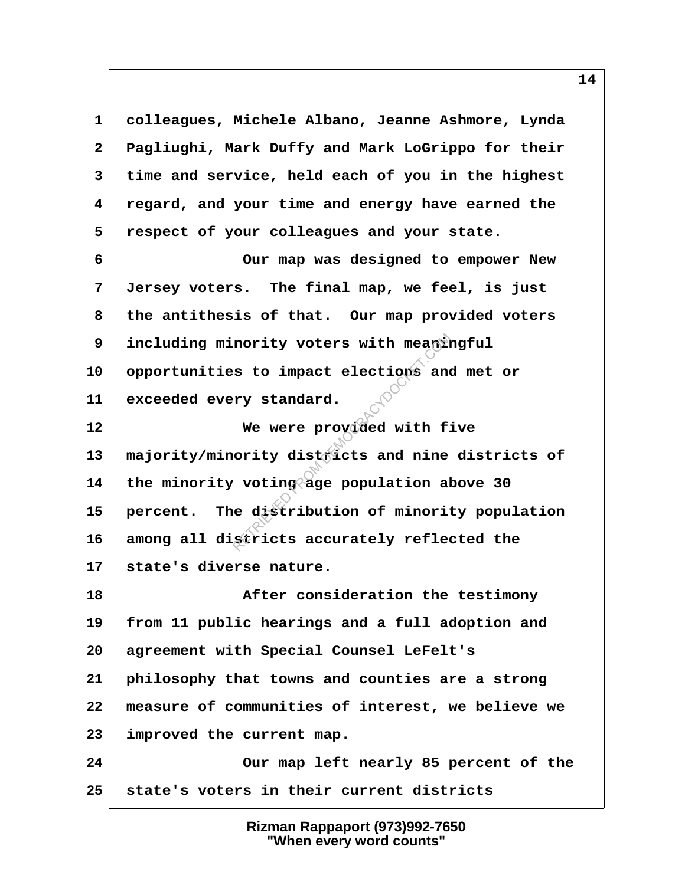**1 colleagues, Michele Albano, Jeanne Ashmore, Lynda 2 Pagliughi, Mark Duffy and Mark LoGrippo for their 3 time and service, held each of you in the highest 4 regard, and your time and energy have earned the 5 respect of your colleagues and your state. 6 Our map was designed to empower New 7 Jersey voters. The final map, we feel, is just 8 the antithesis of that. Our map provided voters 9 including minority voters with meaningful 10 opportunities to impact elections and met or 11 exceeded every standard. 12 We were provided with five 13 majority/minority districts and nine districts of 14 the minority voting age population above 30 15 percent. The distribution of minority population 16 among all districts accurately reflected the 17 state's diverse nature. 18 After consideration the testimony 19 from 11 public hearings and a full adoption and 20 agreement with Special Counsel LeFelt's 21 philosophy that towns and counties are a strong 22 measure of communities of interest, we believe we 23 improved the current map. 24 Our map left nearly 85 percent of the 25 state's voters in their current districts** nority voters with meanings to impact elections and<br>ry standard.<br>We were provided with f:<br>ority districts and nine<br>voting age population al<br>e distribution of minorit<br>stricts accurately reflement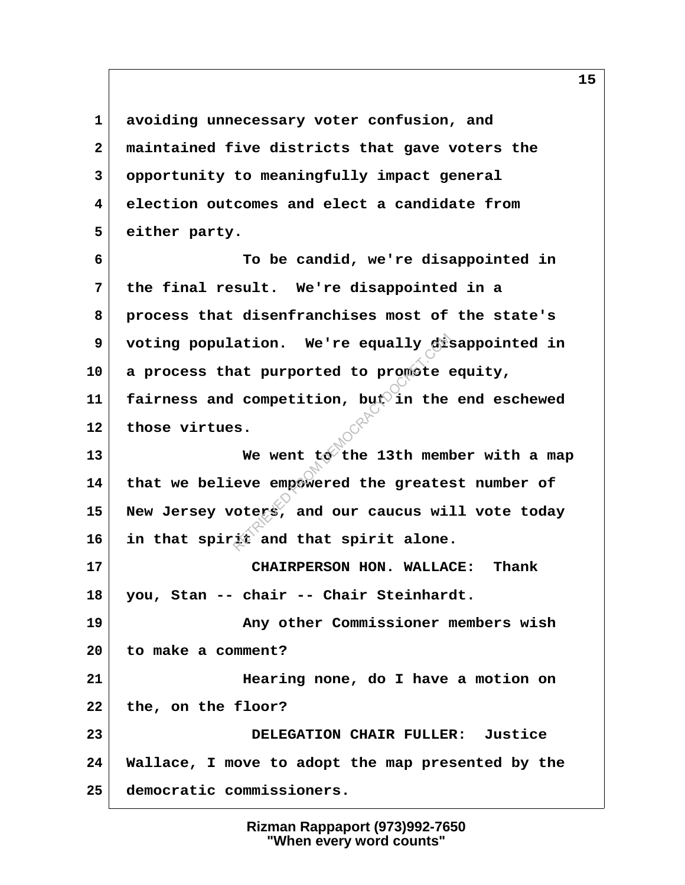**1 avoiding unnecessary voter confusion, and 2 maintained five districts that gave voters the 3 opportunity to meaningfully impact general 4 election outcomes and elect a candidate from 5 either party. 6 To be candid, we're disappointed in 7 the final result. We're disappointed in a 8 process that disenfranchises most of the state's 9 voting population. We're equally disappointed in 10 a process that purported to promote equity, 11 fairness and competition, but in the end eschewed 12 those virtues.** 13 We went to the 13th member with a map **14 that we believe empowered the greatest number of 15 New Jersey voters, and our caucus will vote today 16 in that spirit and that spirit alone. 17 CHAIRPERSON HON. WALLACE: Thank 18 you, Stan -- chair -- Chair Steinhardt. 19 Any other Commissioner members wish 20 to make a comment? 21 Hearing none, do I have a motion on 22 the, on the floor? 23 DELEGATION CHAIR FULLER: Justice 24 Wallace, I move to adopt the map presented by the 25 democratic commissioners.** at purported to promote (<br>at purported to promote (<br>competition, but in the<br>s.<br>We went to the 13th mem<br>eve empowered the greate:<br>otexs, and our caucus will<br>it and that spirit alone

> **Rizman Rappaport (973)992-7650 "When every word counts"**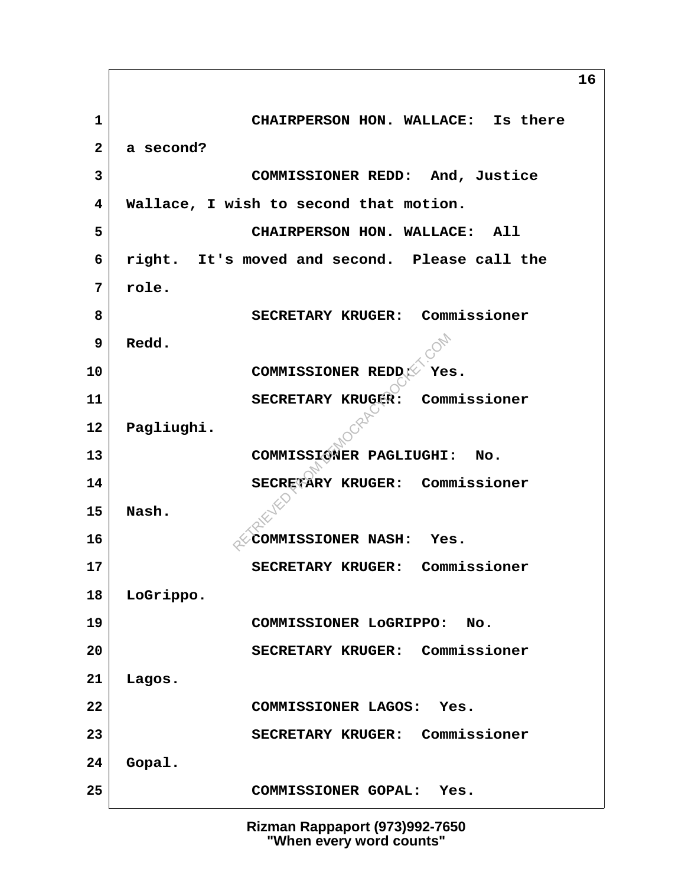**1 CHAIRPERSON HON. WALLACE: Is there 2 a second? 3 COMMISSIONER REDD: And, Justice 4 Wallace, I wish to second that motion. 5 CHAIRPERSON HON. WALLACE: All 6 right. It's moved and second. Please call the 7 role. 8 SECRETARY KRUGER: Commissioner 9 Redd. 10** COMMISSIONER REDD: Yes. **11 SECRETARY KRUGER: Commissioner 12 Pagliughi. 13 COMMISSIONER PAGLIUGHI: No. 14 SECRETARY KRUGER: Commissioner 15 Nash. 16**  $\sqrt{$  COMMISSIONER NASH: Yes. **17 SECRETARY KRUGER: Commissioner 18 LoGrippo. 19 COMMISSIONER LoGRIPPO: No. 20 SECRETARY KRUGER: Commissioner 21 Lagos. 22 COMMISSIONER LAGOS: Yes. 23 SECRETARY KRUGER: Commissioner 24 Gopal. 25 COMMISSIONER GOPAL: Yes.** COMMISSIONER REDD<sub>E</sub><br>SECRETARY KRUGER: Commissioner PAGLIUGHI<br>SECRETARY KRUGER: Commissioner REDER: Commissioner RASH: Yer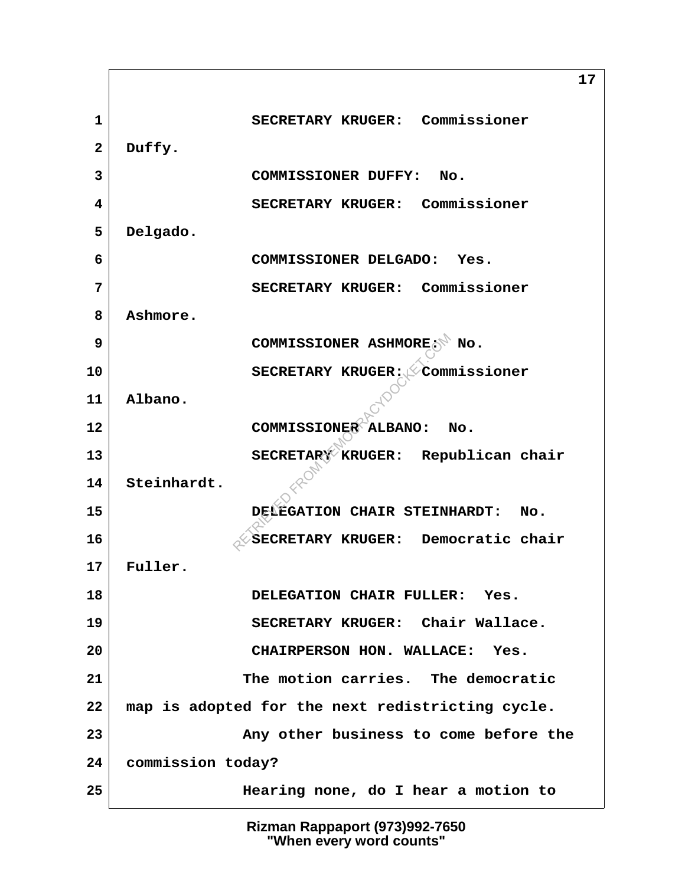**1 SECRETARY KRUGER: Commissioner 2 Duffy. 3 COMMISSIONER DUFFY: No. 4 SECRETARY KRUGER: Commissioner 5 Delgado. 6 COMMISSIONER DELGADO: Yes. 7 SECRETARY KRUGER: Commissioner 8 Ashmore. 9** COMMISSIONER ASHMORE: No. **10** SECRETARY KRUGER: Commissioner **11 Albano. 12 COMMISSIONER ALBANO: No.** 13 | SECRETARY KRUGER: Republican chair **14 Steinhardt. 15 DELEGATION CHAIR STEINHARDT: No. 16** SECRETARY KRUGER: Democratic chair **17 Fuller. 18 DELEGATION CHAIR FULLER: Yes. 19 SECRETARY KRUGER: Chair Wallace. 20 CHAIRPERSON HON. WALLACE: Yes. 21 The motion carries. The democratic 22 map is adopted for the next redistricting cycle. 23 Any other business to come before the 24 commission today? 25 Hearing none, do I hear a motion to** COMMISSIONER ASHMORE<br>
SECRETARY KRUGER: COMMISSIONER ALBANO: I<br>
SECRETARY KRUGER: Republicant<br>
DELEGATION CHAIR STEINI<br>
SECRETARY KRUGER: Demo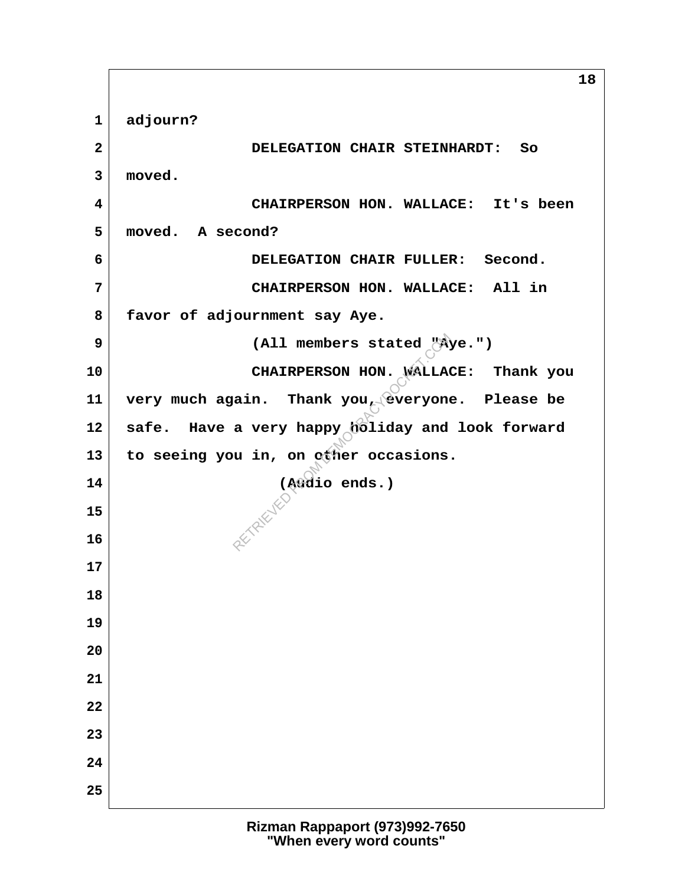**18 1 adjourn? 2 DELEGATION CHAIR STEINHARDT: So 3 moved. 4 CHAIRPERSON HON. WALLACE: It's been 5 moved. A second? 6 DELEGATION CHAIR FULLER: Second. 7 CHAIRPERSON HON. WALLACE: All in 8 favor of adjournment say Aye. 9 (All members stated "Aye.") 10 CHAIRPERSON HON. WALLACE: Thank you 11 very much again. Thank you, everyone. Please be 12 safe. Have a very happy holiday and look forward** 13 to seeing you in, on other occasions. **14 (Audio ends.) 15 16 17 18 19 20 21 22 23 24 25** (All members stated "A)<br>CHAIRPERSON HON. WALLAG<br>ain. Thank you, everyone<br>a very happy holiday and<br>u in, on other occasions<br>(Audio ends.)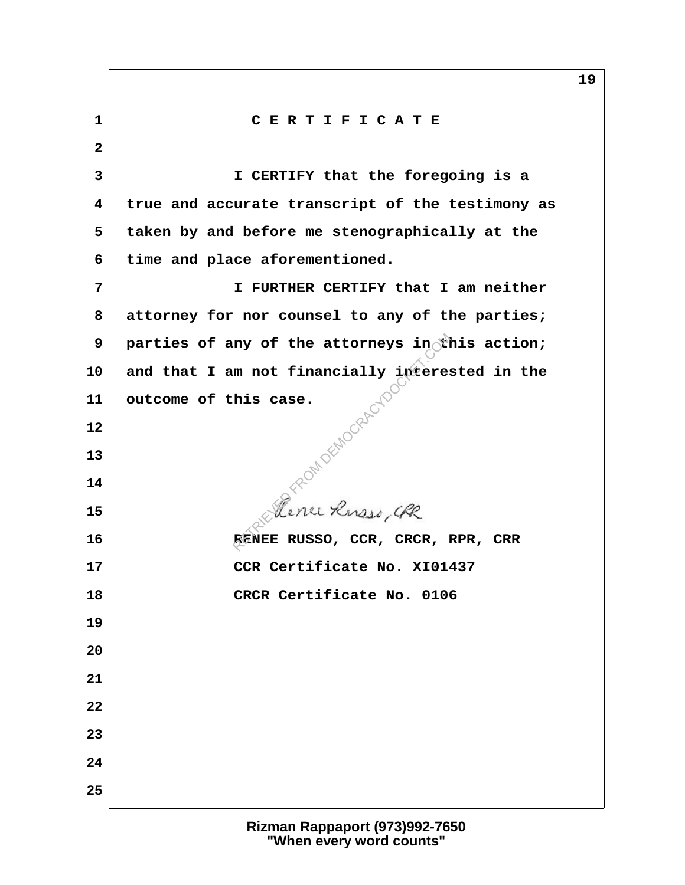**1 C E R T I F I C A T E 2 3 I CERTIFY that the foregoing is a 4 true and accurate transcript of the testimony as 5 taken by and before me stenographically at the 6 time and place aforementioned. 7 I FURTHER CERTIFY that I am neither 8 attorney for nor counsel to any of the parties; 9** parties of any of the attorneys in this action; **10 and that I am not financially interested in the 11 outcome of this case. 12 13 14 15 16 RENEE RUSSO, CCR, CRCR, RPR, CRR 17 CCR Certificate No. XI01437 18 CRCR Certificate No. 0106 19 20 21 22 23 24 25** REDMOCRAEU<br>Pence Russo, GR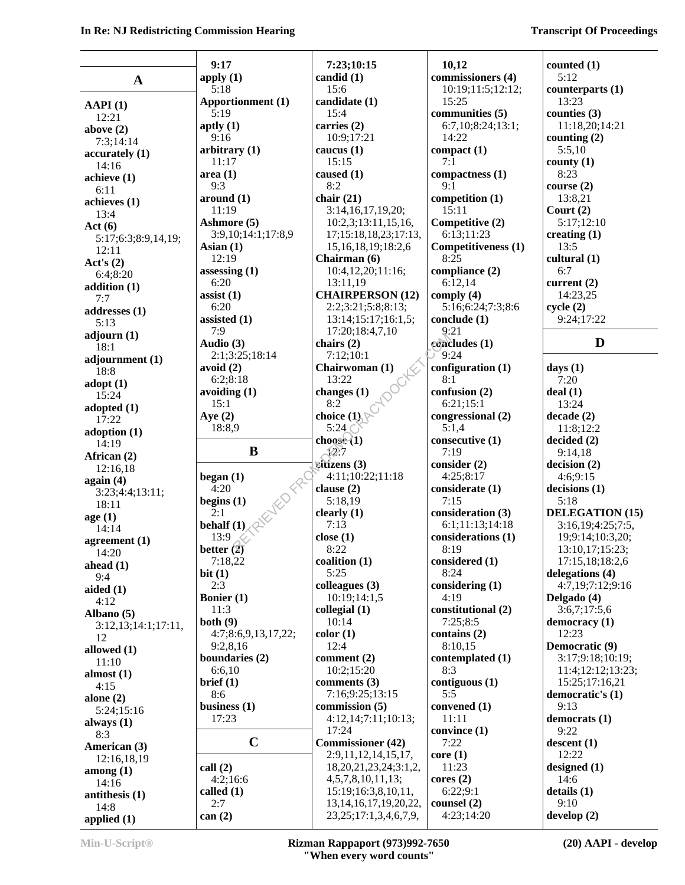T

|                                | 9:17                     | 7:23;10:15                                                   | 10,12                                 | counted $(1)$                         |
|--------------------------------|--------------------------|--------------------------------------------------------------|---------------------------------------|---------------------------------------|
| $\mathbf A$                    | apply $(1)$              | candid (1)                                                   | commissioners (4)                     | 5:12                                  |
|                                | 5:18                     | 15:6                                                         | 10:19;11:5;12:12;                     | counterparts (1)                      |
| AAPI(1)                        | <b>Apportionment</b> (1) | candidate (1)                                                | 15:25                                 | 13:23                                 |
| 12:21                          | 5:19                     | 15:4                                                         | communities (5)                       | counties (3)                          |
| above $(2)$                    | aptly $(1)$              | carries (2)                                                  | 6:7,10;8:24;13:1;                     | 11:18,20;14:21                        |
| 7:3;14:14                      | 9:16                     | 10:9;17:21                                                   | 14:22                                 | counting (2)                          |
| accuracy(1)                    | arbitrary $(1)$          | caucus $(1)$                                                 | compact(1)                            | 5:5,10                                |
| 14:16                          | 11:17                    | 15:15                                                        | 7:1                                   | county $(1)$                          |
| achieve(1)                     | area(1)                  | caused $(1)$                                                 | compactness (1)                       | 8:23                                  |
| 6:11                           | 9:3                      | 8:2                                                          | 9:1                                   | course $(2)$                          |
| achieves (1)                   | around (1)               | chair $(21)$                                                 | competition (1)                       | 13:8,21                               |
| 13:4                           | 11:19                    | 3:14,16,17,19,20;                                            | 15:11                                 | Court $(2)$                           |
| Act $(6)$                      | Ashmore (5)              | 10:2,3;13:11,15,16,                                          | Competitive (2)                       | 5:17;12:10                            |
| 5:17;6:3;8:9,14,19;            | 3:9,10;14:1;17:8,9       | 17;15:18,18,23;17:13,                                        | 6:13;11:23                            | creating $(1)$                        |
| 12:11                          | Asian $(1)$              | 15, 16, 18, 19; 18: 2, 6                                     | Competitiveness (1)                   | 13:5                                  |
| Act's $(2)$                    | 12:19                    | Chairman (6)                                                 | 8:25                                  | cultural (1)                          |
| 6:4;8:20                       | assessing $(1)$          | 10:4,12,20;11:16;                                            | compliance (2)                        | 6:7                                   |
| addition $(1)$                 | 6:20                     | 13:11,19                                                     | 6:12,14                               | current $(2)$                         |
| 7:7                            | assist $(1)$             | <b>CHAIRPERSON (12)</b>                                      | comply $(4)$                          | 14:23,25                              |
| addresses (1)                  | 6:20                     | 2:2;3:21;5:8;8:13;                                           | 5:16;6:24;7:3;8:6                     | cycle(2)                              |
| 5:13                           | assisted $(1)$<br>7:9    | 13:14;15:17;16:1,5;                                          | conclude $(1)$<br>9:21                | 9:24;17:22                            |
| adjourn (1)                    | Audio (3)                | 17:20;18:4,7,10<br>chairs $(2)$                              | concludes (1)                         | D                                     |
| 18:1                           | 2:1;3:25;18:14           | 7:12;10:1                                                    | 9:24                                  |                                       |
| adjournment (1)                | avoid (2)                | Chairwoman (1)                                               | configuration $(1)$                   |                                       |
| 18:8                           | 6:2;8:18                 | OCHE<br>13:22                                                | 8:1                                   | days $(1)$<br>7:20                    |
| $\text{adopt}(1)$              | avoiding $(1)$           | changes (1)                                                  | confusion (2)                         | deal(1)                               |
| 15:24                          | 15:1                     | 8:2                                                          | 6:21;15:1                             | 13:24                                 |
| adopted (1)                    | Aye $(2)$                | choice $(1)$                                                 | congressional (2)                     | decade(2)                             |
| 17:22                          | 18:8,9                   | 5:24                                                         | 5:1,4                                 | 11:8;12:2                             |
| adoption $(1)$                 |                          | choose(1)                                                    | consecutive (1)                       | decided(2)                            |
|                                |                          |                                                              |                                       |                                       |
| 14:19                          |                          |                                                              |                                       |                                       |
| African (2)                    | B                        | $\chi$ 2:7                                                   | 7:19                                  | 9:14,18                               |
| 12:16,18                       |                          | $\tilde{\textbf{c}}$ itízens (3)                             | consider (2)                          | decision(2)                           |
| again(4)                       | began $(1)$              | 4:11;10:22;11:18                                             | 4:25;8:17                             | 4:6;9:15                              |
| 3:23;4:4;13:11;                | 4:20                     | clause $(2)$                                                 | considerate (1)                       | decisions(1)                          |
| 18:11                          | begins $(1)$             | 5:18,19                                                      | 7:15                                  | 5:18                                  |
| age(1)                         | NED FR<br>2:1            | clearly $(1)$                                                | consideration (3)                     | <b>DELEGATION (15)</b>                |
| 14:14                          | behalf $(1)$             | 7:13<br>close(1)                                             | 6:1;11:13;14:18<br>considerations (1) | 3:16,19;4:25;7:5,                     |
| agreement $(1)$                | 13:9                     | 8:22                                                         | 8:19                                  | 19;9:14;10:3,20;                      |
| 14:20                          | better $(2)$<br>7:18,22  | coalition (1)                                                |                                       | 13:10,17;15:23;<br>$1'$ :15,18;18:2,6 |
| ahead $(1)$                    | bit $(1)$                | 5:25                                                         | considered (1)<br>8:24                | delegations (4)                       |
| 9:4                            | 2:3                      | colleagues (3)                                               | considering (1)                       | 4:7,19;7:12;9:16                      |
| aided $(1)$                    | <b>Bonier</b> (1)        | 10:19;14:1,5                                                 | 4:19                                  | Delgado (4)                           |
| 4:12                           | 11:3                     | collegial (1)                                                | constitutional (2)                    | 3:6,7;17:5,6                          |
| Albano (5)                     | both(9)                  | 10:14                                                        | 7:25;8:5                              | democracy (1)                         |
| 3:12,13;14:1;17:11,            | 4:7;8:6,9,13,17,22;      | color(1)                                                     | contains $(2)$                        | 12:23                                 |
| 12                             | 9:2,8,16                 | 12:4                                                         | 8:10,15                               | Democratic (9)                        |
| allowed (1)                    | boundaries (2)           | comment $(2)$                                                | contemplated (1)                      | 3:17;9:18;10:19;                      |
| 11:10                          | 6:6,10                   | 10:2;15:20                                                   | 8:3                                   | 11:4:12:12:13:23:                     |
| almost $(1)$<br>4:15           | brief (1)                | comments $(3)$                                               | contiguous (1)                        | 15:25;17:16,21                        |
| alone $(2)$                    | 8:6                      | 7:16;9:25;13:15                                              | 5:5                                   | democratic's (1)                      |
| 5:24;15:16                     | business $(1)$           | commission $(5)$                                             | convened (1)                          | 9:13                                  |
| always (1)                     | 17:23                    | 4:12,14;7:11;10:13;                                          | 11:11                                 | democrats (1)                         |
| 8:3                            |                          | 17:24                                                        | convince (1)                          | 9:22                                  |
| American (3)                   | $\mathbf C$              | <b>Commissioner</b> (42)                                     | 7:22                                  | descent(1)                            |
| 12:16,18,19                    |                          | 2:9,11,12,14,15,17,                                          | core(1)                               | 12:22                                 |
| $\mathbf{among}\left(1\right)$ | call(2)                  | 18, 20, 21, 23, 24, 3: 1, 2,                                 | 11:23                                 | designed (1)                          |
| 14:16                          | 4:2;16:6                 | 4,5,7,8,10,11,13;                                            | cores(2)                              | 14:6                                  |
| antithesis $(1)$               | called $(1)$             | 15:19;16:3,8,10,11,                                          | 6:22;9:1                              | details(1)                            |
| 14:8<br>applied $(1)$          | 2:7<br>can $(2)$         | 13, 14, 16, 17, 19, 20, 22,<br>23, 25; 17: 1, 3, 4, 6, 7, 9, | counsel $(2)$<br>4:23;14:20           | 9:10<br>$d$ evelop $(2)$              |

**Min-U-Script® Rizman Rappaport (973)992-7650 "When every word counts"**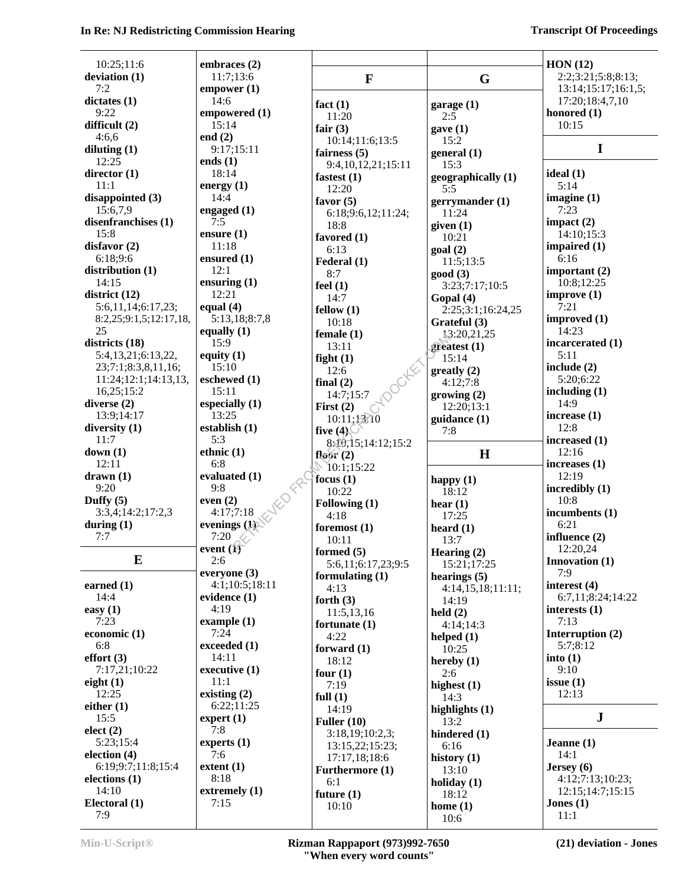#### **In Re: NJ Redistricting Commission Hearing Transcript Of Proceedings Transcript Of Proceedings**

| 10:25;11:6                      | embraces (2)              |                    |                         | HON(12)                           |
|---------------------------------|---------------------------|--------------------|-------------------------|-----------------------------------|
| deviation (1)                   | 11:7;13:6                 | $\mathbf{F}$       | G                       | 2:2;3:21;5:8;8:13;                |
| 7:2                             | empower(1)                |                    |                         | 13:14;15:17;16:1,5;               |
| dictates(1)                     | 14:6                      |                    |                         | 17:20;18:4,7,10                   |
| 9:22                            | empowered (1)             | fact $(1)$         | garage $(1)$            | honored $(1)$                     |
| difficult (2)                   | 15:14                     | 11:20              | 2:5                     | 10:15                             |
| 4:6,6                           | end $(2)$                 | fair $(3)$         | gave(1)                 |                                   |
| diluting $(1)$                  | 9:17;15:11                | 10:14;11:6;13:5    | 15:2                    | $\mathbf I$                       |
| 12:25                           | ends $(1)$                | fairness $(5)$     | general(1)              |                                   |
| director $(1)$                  | 18:14                     | 9:4,10,12,21;15:11 | 15:3                    |                                   |
| 11:1                            | energy $(1)$              | fastest $(1)$      | geographically (1)      | ideal $(1)$<br>5:14               |
| disappointed (3)                | 14:4                      | 12:20              | 5:5                     | imagine $(1)$                     |
|                                 |                           | favor $(5)$        | gerrymander (1)         | 7:23                              |
| 15:6,7,9<br>disenfranchises (1) | engaged (1)<br>7:5        | 6:18;9:6,12;11:24; | 11:24                   |                                   |
| 15:8                            |                           | 18:8               | given $(1)$             | impact $(2)$                      |
|                                 | ensure $(1)$<br>11:18     | favored (1)        | 10:21                   | 14:10;15:3                        |
| disfavor (2)                    |                           | 6:13               | goal(2)                 | impaired $(1)$                    |
| 6:18;9:6                        | ensured $(1)$             | Federal (1)        | 11:5;13:5               | 6:16                              |
| distribution $(1)$              | 12:1                      | 8:7                | good(3)                 | important $(2)$                   |
| 14:15                           | ensuring $(1)$            | feel $(1)$         | 3:23;7:17;10:5          | 10:8;12:25                        |
| district $(12)$                 | 12:21                     | 14:7               | Gopal (4)               | improve(1)                        |
| 5:6,11,14;6:17,23;              | equal $(4)$               | fellow(1)          | 2:25;3:1;16:24,25       | 7:21                              |
| 8:2,25;9:1,5;12:17,18,          | 5:13,18;8:7,8             | 10:18              | Grateful (3)            | improved (1)                      |
| 25                              | equally $(1)$             | female $(1)$       | 13:20,21,25             | 14:23                             |
| districts (18)                  | 15:9                      | 13:11              | greatest $(1)$          | incarcerated (1)                  |
| 5:4,13,21;6:13,22,              | equity $(1)$              | fight $(1)$        | 15:14                   | 5:11                              |
| 23;7:1;8:3,8,11,16;             | 15:10                     | 12:6               | $g realty (2)$          | include $(2)$                     |
| 11:24;12:1;14:13,13,            | eschewed (1)              | final $(2)$        | 4:12;7:8                | 5:20;6:22                         |
| 16,25;15:2                      | 15:11                     | 14:7;15:7          | growing (2)             | including $(1)$                   |
| diverse $(2)$                   | especially $(1)$          | First $(2)$        | 12:20;13:1              | 14:9                              |
| 13:9;14:17                      | 13:25                     | 10:11;13:10        | $\text{quidance}$ $(1)$ | increase $(1)$                    |
| diversity $(1)$                 | establish (1)             | five $(4)$         | 7:8                     | 12:8                              |
| 11:7                            | 5:3                       | 8:10,15;14:12;15:2 |                         | increased (1)                     |
|                                 |                           |                    |                         |                                   |
| down(1)                         | ethnic $(1)$              |                    |                         | 12:16                             |
| 12:11                           | 6:8                       | floor $(2)$<br>J.  | H                       | increases $(1)$                   |
| drawn(1)                        | evaluated (1)             | 10:1;15:22         |                         | 12:19                             |
| 9:20                            | 9:8                       | focus $(1)$        | happy $(1)$             | incredibly (1)                    |
| Duffy $(5)$                     | even $(2)$                | 10:22              | 18:12                   | 10:8                              |
| 3:3,4;14:2;17:2,3               | 4:17;7:18                 | Following (1)      | hear $(1)$              | incumbents (1)                    |
| during $(1)$                    | evenings (1)              | 4:18               | 17:25                   | 6:21                              |
| 7:7                             | 7:20                      | foremost $(1)$     | heard $(1)$             | influence $(2)$                   |
|                                 | event $(i)$               | 10:11              | 13:7                    | 12:20,24                          |
| E                               | 2:6                       | formed $(5)$       | Hearing (2)             | Innovation (1)                    |
|                                 | everyone (3)              | 5:6,11;6:17,23;9:5 | 15:21;17:25             | 7:9                               |
| earned $(1)$                    | 4:1;10:5;18:11            | formulating $(1)$  | hearings $(5)$          |                                   |
| 14:4                            | evidence $(1)$            | 4:13               | 4:14,15,18;11:11;       | interest (4)<br>6:7,11;8:24;14:22 |
| easy $(1)$                      | 4:19                      | forth $(3)$        | 14:19                   | interests $(1)$                   |
| 7:23                            | example(1)                | 11:5,13,16         | held $(2)$              | 7:13                              |
|                                 | 7:24                      | fortunate (1)      | 4:14;14:3               |                                   |
| economic (1)<br>6:8             | exceeded (1)              | 4:22               | helped $(1)$            | Interruption (2)<br>5:7;8:12      |
|                                 | 14:11                     | forward $(1)$      | 10:25                   |                                   |
| effort(3)                       |                           | 18:12              | hereby $(1)$            | into(1)<br>9:10                   |
| 7:17,21;10:22                   | executive (1)<br>11:1     | four $(1)$         | 2:6                     |                                   |
| eight $(1)$                     |                           | 7:19               | highest $(1)$           | issue $(1)$                       |
| 12:25                           | existing $(2)$            | full $(1)$         | 14:3                    | 12:13                             |
| either $(1)$                    | 6:22;11:25                | 14:19              | highlights $(1)$        | $\mathbf J$                       |
| 15:5                            | $\text{expert}(1)$<br>7:8 | Fuller $(10)$      | 13:2                    |                                   |
| elect (2)                       |                           | 3:18,19;10:2,3;    | hindered (1)            |                                   |
| 5:23;15:4                       | experts $(1)$             | 13:15,22;15:23;    | 6:16                    | Jeanne $(1)$                      |
| election $(4)$                  | 7:6                       | 17:17,18;18:6      | history $(1)$           | 14:1                              |
| 6:19;9:7;11:8;15:4              | extent(1)                 | Furthermore (1)    | 13:10                   | Jersey (6)                        |
| elections $(1)$                 | 8:18                      | 6:1                | holiday $(1)$           | 4:12;7:13;10:23;                  |
| 14:10                           | extremely (1)             | future $(1)$       | 18:12                   | 12:15;14:7;15:15                  |
| Electoral (1)<br>7:9            | 7:15                      | 10:10              | home $(1)$<br>10:6      | Jones $(1)$<br>11:1               |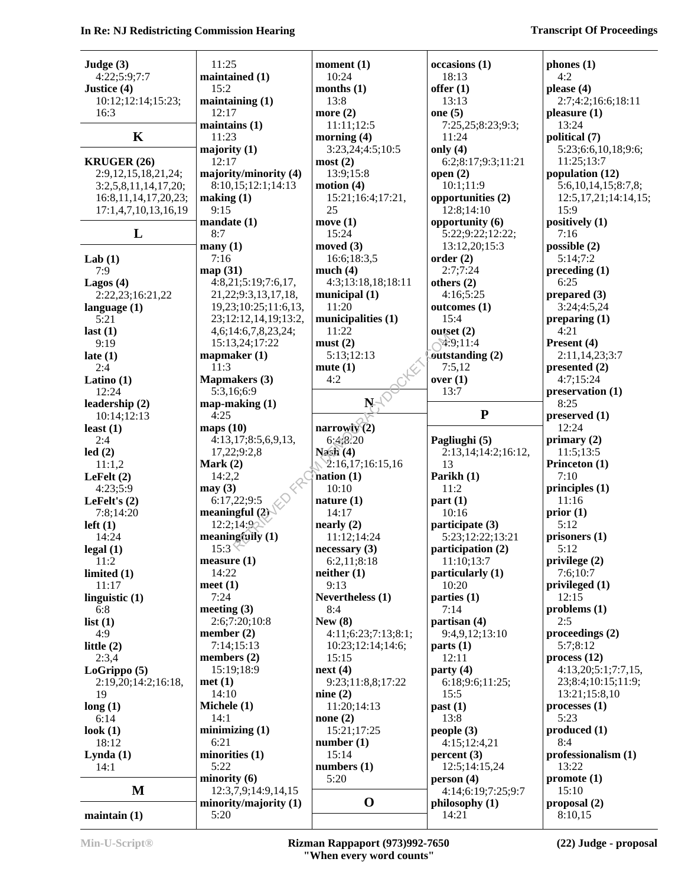#### **In Re: NJ Redistricting Commission Hearing Transcript Of Proceedings Transcript Of Proceedings**

| Judge $(3)$               | 11:25                         | moment $(1)$           | occasions (1)           | phones(1)                 |
|---------------------------|-------------------------------|------------------------|-------------------------|---------------------------|
| 4:22;5:9;7:7              | maintained (1)                | 10:24                  | 18:13                   | 4:2                       |
| Justice (4)               | 15:2                          | months $(1)$           | offer $(1)$             | please (4)                |
| 10:12;12:14;15:23;        | maintaining $(1)$             | 13:8                   | 13:13                   | 2:7;4:2;16:6;18:11        |
| 16:3                      | 12:17                         | more $(2)$             | one $(5)$               | pleasure (1)              |
|                           | maintains (1)                 | 11:11;12:5             | 7:25,25;8:23;9:3;       | 13:24                     |
| $\mathbf K$               | 11:23                         | morning (4)            | 11:24                   | political (7)             |
|                           | majority $(1)$                | 3:23,24;4:5;10:5       | only $(4)$              | 5:23;6:6,10,18;9:6;       |
| <b>KRUGER (26)</b>        | 12:17                         | most(2)                | 6:2;8:17;9:3;11:21      | 11:25;13:7                |
| 2:9,12,15,18,21,24;       | majority/minority (4)         | 13:9;15:8              | open $(2)$              | population (12)           |
| 3:2,5,8,11,14,17,20;      | 8:10,15;12:1;14:13            | motion $(4)$           | 10:1;11:9               | 5:6, 10, 14, 15; 8:7, 8;  |
| 16:8, 11, 14, 17, 20, 23; | making (1)                    | 15:21;16:4;17:21,      | opportunities (2)       | 12:5, 17, 21; 14: 14, 15; |
| 17:1,4,7,10,13,16,19      | 9:15                          | 25                     | 12:8;14:10              | 15:9                      |
|                           | mandate(1)                    | move(1)                | opportunity (6)         | positively (1)            |
| L                         | 8:7                           | 15:24                  | 5:22;9:22;12:22;        | 7:16                      |
|                           | many(1)                       | moved $(3)$            | 13:12,20;15:3           | possible (2)              |
| Lab $(1)$                 | 7:16                          | 16:6;18:3,5            | order(2)                | 5:14;7:2                  |
| 7:9                       | map(31)                       | much $(4)$             | 2:7;7:24                | preceding(1)              |
| Lagos $(4)$               | 4:8,21;5:19;7:6,17,           | 4:3;13:18,18;18:11     | others $(2)$            | 6:25                      |
| 2:22,23;16:21,22          | 21, 22; 9: 3, 13, 17, 18,     | municipal $(1)$        | 4:16;5:25               | prepared $(3)$            |
| language $(1)$            | 19,23;10:25;11:6,13,          | 11:20                  | outcomes (1)            | 3:24;4:5,24               |
| 5:21                      | 23;12:12,14,19;13:2,          | municipalities (1)     | 15:4                    | preparing $(1)$           |
| last $(1)$                | 4,6;14:6,7,8,23,24;           | 11:22                  | outset $(2)$            | 4:21                      |
| 9:19                      | 15:13,24;17:22                | must(2)                | $\sim 9.11:4$           | Present (4)               |
| late $(1)$                | mapmaker $(1)$                | 5:13;12:13             | outstanding (2)         | 2:11,14,23;3:7            |
| 2:4                       | 11:3                          | mute(1)                | 7:5,12                  | presented (2)             |
| Latino $(1)$              | <b>Mapmakers</b> (3)          | 4:2                    | over(1)                 | 4:7;15:24                 |
| 12:24                     | 5:3,16;6:9                    |                        | 13:7                    | preservation (1)          |
| leadership (2)            | $map-making (1)$              | $N^{-1}$               |                         | 8:25                      |
| 10:14;12:13               | 4:25                          |                        | ${\bf P}$               | preserved $(1)$           |
| least $(1)$               | maps $(10)$                   | narrowly $\tilde{2}$ ) |                         | 12:24                     |
| 2:4                       | 4:13,17;8:5,6,9,13,           | 6:4;8.20               | Pagliughi (5)           | primary $(2)$             |
|                           |                               |                        |                         |                           |
| led(2)                    | 17,22;9:2,8                   | Nash(4)                | 2:13,14;14:2;16:12,     | 11:5;13:5                 |
| 11:1,2                    | Mark $(2)$                    | 2:16,17;16:15,16       | 13                      | Princeton (1)             |
| LeFelt $(2)$              | 14:2,2                        | nation(1)              | Parikh (1)              | 7:10                      |
| 4:23;5:9                  | may(3)                        | 10:10                  | 11:2                    | principles $(1)$          |
| LeFelt's $(2)$            | 6:17,22;9:5                   | nature $(1)$           | part(1)                 | 11:16                     |
| 7:8;14:20                 | meaningful $(2)$              | 14:17                  | 10:16                   | prior(1)                  |
| $left(1\right)$           | 12:2;14:92                    | nearly (2)             | participate (3)         | 5:12                      |
| 14:24                     | meaningfully $(1)$            | 11:12;14:24            | 5:23;12:22;13:21        | prisoners (1)             |
| legal(1)                  | 15:3 <sup>2</sup>             | necessary(3)           | participation (2)       | 5:12                      |
| 11:2                      | measure(1)                    | 6:2,11;8:18            | 11:10;13:7              | privilege (2)             |
| limited $(1)$             | 14:22                         | neither(1)             | particularly (1)        | 7:6;10:7                  |
| 11:17                     | meet $(1)$                    | 9:13                   | 10:20                   | privileged (1)            |
| linguistic $(1)$          | 7:24                          | Nevertheless (1)       | parties $(1)$           | 12:15                     |
| 6:8                       | meeting $(3)$                 | 8:4                    | 7:14                    | problems (1)              |
| list(1)                   | 2:6;7:20;10:8                 | New $(8)$              | partisan $(4)$          | 2:5                       |
| 4:9                       | member $(2)$                  | 4:11;6:23;7:13;8:1;    | 9:4,9,12;13:10          | proceedings (2)           |
| little $(2)$              | 7:14;15:13                    | 10:23;12:14;14:6;      | parts(1)                | 5:7:8:12                  |
| 2:3,4                     | members $(2)$                 | 15:15                  | 12:11                   | process(12)               |
| LoGrippo (5)              | 15:19;18:9                    | next(4)                | party $(4)$             | 4:13,20;5:1;7:7,15,       |
| 2:19,20;14:2;16:18,       | met(1)                        | 9:23;11:8,8;17:22      | 6:18;9:6;11:25;         | 23;8:4;10:15;11:9;        |
| 19                        | 14:10                         | nine $(2)$             | 15:5                    | 13:21;15:8,10             |
| long(1)                   | Michele (1)                   | 11:20;14:13            | past(1)                 | processes(1)              |
| 6:14                      | 14:1                          | none $(2)$             | 13:8                    | 5:23                      |
| look $(1)$                | minimizing(1)                 | 15:21;17:25            | people(3)               | produced(1)               |
| 18:12                     | 6:21                          | number $(1)$           | 4:15;12:4,21            | 8:4                       |
| Lynda(1)                  | minorities (1)                | 15:14                  | percent(3)              | professionalism (1)       |
| 14:1                      | 5:22                          | numbers $(1)$          | 12:5;14:15,24           | 13:22                     |
|                           | minority(6)                   | 5:20                   | person(4)               | promote(1)                |
| $\mathbf M$               | 12:3,7,9;14:9,14,15           |                        | 4:14;6:19;7:25;9:7      | 15:10                     |
| maintain(1)               | minority/majority (1)<br>5:20 | $\mathbf 0$            | philosophy (1)<br>14:21 | proposal $(2)$<br>8:10,15 |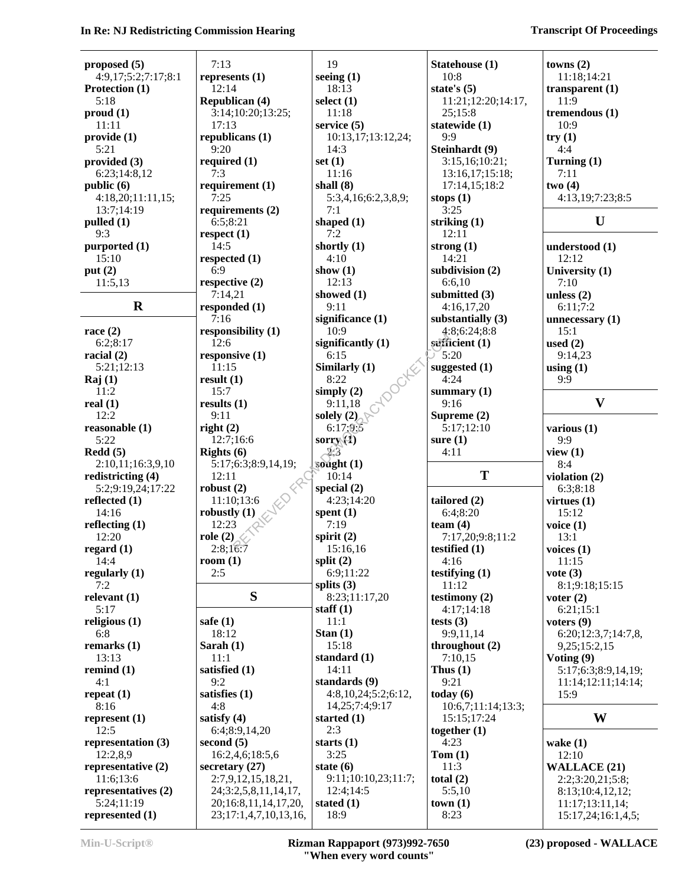#### **In Re: NJ Redistricting Commission Hearing Transcript Of Proceedings Transcript Of Proceedings**

| proposed $(5)$      | 7:13                  | 19                     | Statehouse (1)      | towns $(2)$         |
|---------------------|-----------------------|------------------------|---------------------|---------------------|
| 4:9,17;5:2;7:17;8:1 | represents $(1)$      | seeing $(1)$           | 10:8                | 11:18;14:21         |
| Protection (1)      | 12:14                 | 18:13                  | state's $(5)$       | transparent $(1)$   |
| 5:18                | <b>Republican (4)</b> | select $(1)$           | 11:21;12:20;14:17,  | 11:9                |
| prod(1)             | 3:14;10:20;13:25;     | 11:18                  | 25;15:8             | tremendous $(1)$    |
| 11:11               | 17:13                 | service $(5)$          | statewide (1)       | 10:9                |
| provide (1)         | republicans (1)       | 10:13,17;13:12,24;     | 9:9                 | try(1)              |
| 5:21                | 9:20                  | 14:3                   | Steinhardt (9)      | 4:4                 |
| provided $(3)$      | required $(1)$        | set $(1)$              | 3:15,16;10:21;      | Turning $(1)$       |
| 6:23;14:8,12        | 7:3                   | 11:16                  | 13:16,17;15:18;     | 7:11                |
| public (6)          | requirement (1)       | shall $(8)$            | 17:14,15;18:2       | two(4)              |
| 4:18,20;11:11,15;   | 7:25                  | 5:3,4,16;6:2,3,8,9;    |                     | 4:13,19;7:23;8:5    |
|                     | requirements $(2)$    | 7:1                    | stops $(1)$<br>3:25 |                     |
| 13:7;14:19          |                       |                        |                     | U                   |
| $p$ ulled $(1)$     | 6:5;8:21              | shaped (1)<br>7:2      | striking $(1)$      |                     |
| 9:3                 | respect $(1)$         |                        | 12:11               |                     |
| purported $(1)$     | 14:5                  | shortly $(1)$          | strong $(1)$        | understood (1)      |
| 15:10               | respected (1)         | 4:10                   | 14:21               | 12:12               |
| put $(2)$           | 6:9                   | show $(1)$             | subdivision $(2)$   | University (1)      |
| 11:5,13             | respective $(2)$      | 12:13                  | 6:6,10              | 7:10                |
|                     | 7:14,21               | showed $(1)$           | submitted (3)       | unless $(2)$        |
| $\mathbf R$         | responded (1)         | 9:11                   | 4:16,17,20          | 6:11;7:2            |
|                     | 7:16                  | significance (1)       | substantially $(3)$ | unnecessary $(1)$   |
| race $(2)$          | responsibility (1)    | 10:9                   | 4:8;6:24;8:8        | 15:1                |
| 6:2;8:17            | 12:6                  | significantly $(1)$    | sufficient $(1)$    | used $(2)$          |
| racial $(2)$        | responsive $(1)$      | 6:15                   | 5:20                | 9:14,23             |
| 5:21;12:13          | 11:15                 | Similarly (1)          | suggested $(1)$     | using $(1)$         |
| $\text{Raj}(1)$     | result $(1)$          | 8:22                   | 4:24                | 9:9                 |
| 11:2                | 15:7                  | Octric<br>simply $(2)$ | summary $(1)$       |                     |
| real $(1)$          | results $(1)$         | 9:11,18                | 9:16                | $\mathbf{V}$        |
| 12:2                | 9:11                  | solely $(2)$           | Supreme (2)         |                     |
|                     |                       |                        |                     |                     |
| reasonable (1)      | right $(2)$           | 6:17:9:5               | 5:17;12:10          | various $(1)$       |
| 5:22                | 12:7;16:6             | sorry $(4)$<br>23      | sure $(1)$          | 9:9                 |
| $\text{Redd}(5)$    | Rights $(6)$          |                        | 4:11                | view $(1)$          |
| 2:10,11;16:3,9,10   | 5:17;6:3;8:9,14,19;   | sought $(1)$           |                     | 8:4                 |
| redistricting (4)   | 12:11                 | 10:14                  | T                   | violation $(2)$     |
| 5:2;9:19,24;17:22   | robust $(2)$          | special $(2)$          |                     | 6:3;8:18            |
| reflected $(1)$     | 11:10;13:6            | 4:23;14:20             | tailored (2)        | virtues $(1)$       |
| 14:16               | robustly $(1)$        | spent $(1)$            | 6:4;8:20            | 15:12               |
| reflecting $(1)$    | 12:23                 | 7:19                   | team $(4)$          | voice $(1)$         |
| 12:20               | role $(2)$            | spirit $(2)$           | 7:17,20;9:8;11:2    | 13:1                |
| regard $(1)$        | 2:8;16:7              | 15:16,16               | testified (1)       | voices $(1)$        |
| 14:4                | room $(1)$            | split $(2)$            | 4:16                | 11:15               |
| regularly $(1)$     | 2:5                   | 6:9;11:22              | testifying $(1)$    | vote $(3)$          |
| 7:2                 |                       | splits $(3)$           | 11:12               | 8:1;9:18;15:15      |
| relevant $(1)$      | S                     | 8:23;11:17,20          | testimony $(2)$     | voter $(2)$         |
| 5:17                |                       | staff $(1)$            | 4:17;14:18          | 6:21;15:1           |
| religious $(1)$     | safe $(1)$            | 11:1                   | tests $(3)$         | voters $(9)$        |
| 6:8                 | 18:12                 | Stan $(1)$             | 9:9,11,14           | 6:20;12:3,7;14:7,8, |
| remarks $(1)$       | Sarah $(1)$           | 15:18                  |                     |                     |
|                     |                       |                        | throughout $(2)$    | 9,25;15:2,15        |
| 13:13               | 11:1                  | standard (1)           | 7:10,15             | Voting (9)          |
| remind $(1)$        | satisfied (1)         | 14:11                  | Thus $(1)$          | 5:17;6:3;8:9,14,19; |
| 4:1                 | 9:2                   | standards (9)          | 9:21                | 11:14;12:11;14:14;  |
| repeat $(1)$        | satisfies $(1)$       | 4:8,10,24;5:2;6:12,    | today $(6)$         | 15:9                |
| 8:16                | 4:8                   | 14,25;7:4;9:17         | 10:6,7;11:14;13:3;  |                     |
| represent $(1)$     | satisfy $(4)$         | started $(1)$          | 15:15;17:24         | W                   |
| 12:5                | 6:4;8:9,14,20         | 2:3                    | together $(1)$      |                     |
| representation (3)  | second $(5)$          | starts $(1)$           | 4:23                | wake $(1)$          |
| 12:2,8,9            | 16:2,4,6;18:5,6       | 3:25                   | Tom(1)              | 12:10               |
| representative (2)  | secretary $(27)$      | state $(6)$            | 11:3                | <b>WALLACE (21)</b> |
| 11:6;13:6           | 2:7,9,12,15,18,21,    | 9:11;10:10,23;11:7;    | total $(2)$         | 2:2;3:20,21;5:8;    |
| representatives (2) | 24;3:2,5,8,11,14,17,  | 12:4;14:5              | 5:5,10              | 8:13;10:4,12,12;    |
| 5:24;11:19          | 20;16:8,11,14,17,20,  | stated $(1)$           | town(1)             | 11:17;13:11,14;     |
| represented (1)     | 23;17:1,4,7,10,13,16, | 18:9                   | 8:23                | 15:17,24;16:1,4,5;  |
|                     |                       |                        |                     |                     |